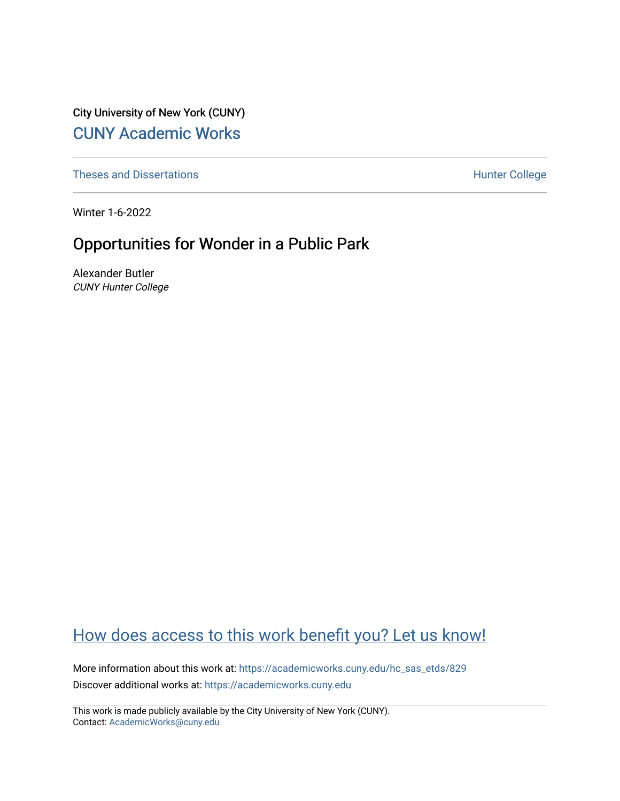City University of New York (CUNY) [CUNY Academic Works](https://academicworks.cuny.edu/) 

[Theses and Dissertations](https://academicworks.cuny.edu/hc_sas_etds) **Hunter College** 

Winter 1-6-2022

# Opportunities for Wonder in a Public Park

Alexander Butler CUNY Hunter College

# [How does access to this work benefit you? Let us know!](http://ols.cuny.edu/academicworks/?ref=https://academicworks.cuny.edu/hc_sas_etds/829)

More information about this work at: [https://academicworks.cuny.edu/hc\\_sas\\_etds/829](https://academicworks.cuny.edu/hc_sas_etds/829)  Discover additional works at: [https://academicworks.cuny.edu](https://academicworks.cuny.edu/?)

This work is made publicly available by the City University of New York (CUNY). Contact: [AcademicWorks@cuny.edu](mailto:AcademicWorks@cuny.edu)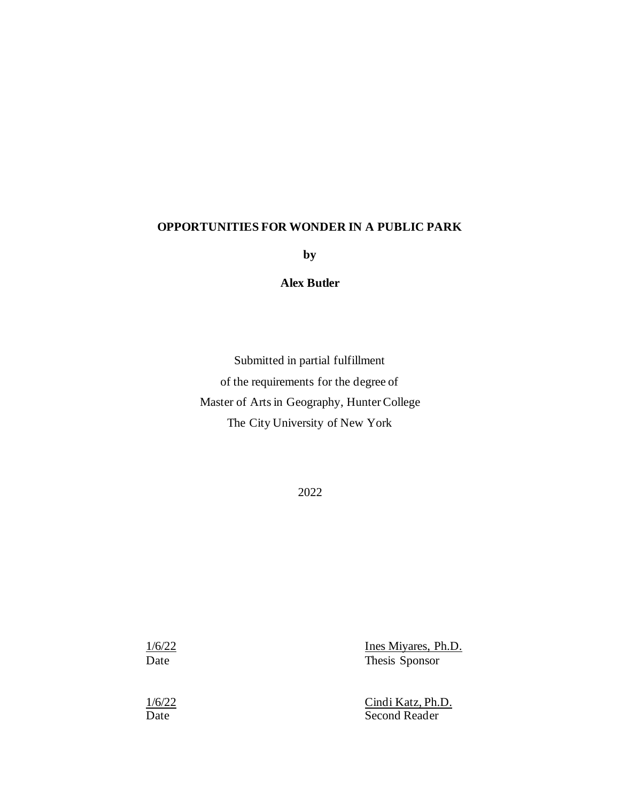#### **OPPORTUNITIES FOR WONDER IN A PUBLIC PARK**

**by**

#### **Alex Butler**

Submitted in partial fulfillment of the requirements for the degree of Master of Arts in Geography, Hunter College The City University of New York

2022

1/6/22 Ines Miyares, Ph.D. Date Thesis Sponsor

1/6/22 Cindi Katz, Ph.D. Date Second Reader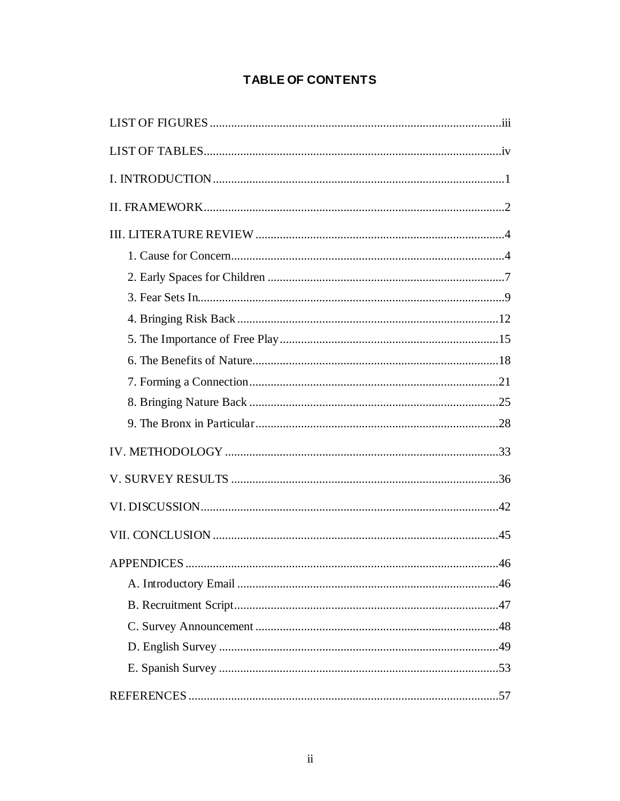# **TABLE OF CONTENTS**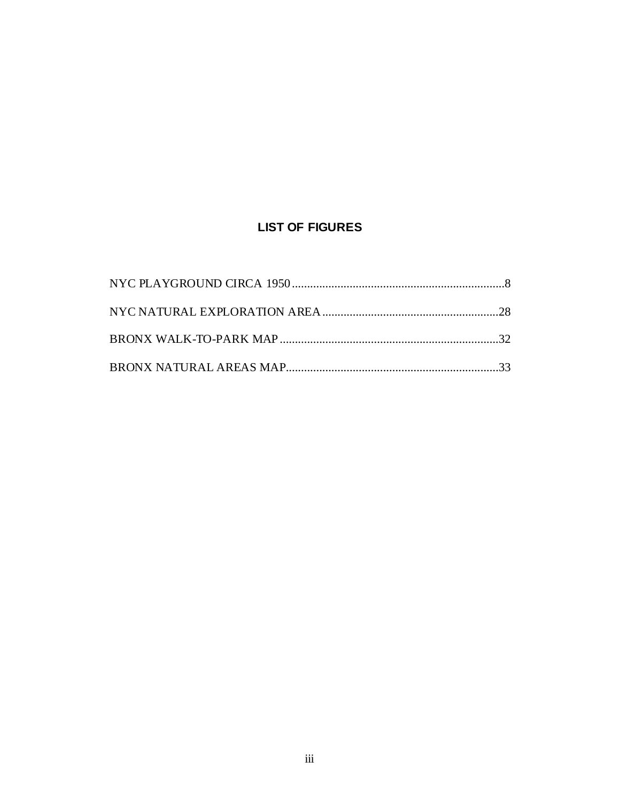# **LIST OF FIGURES**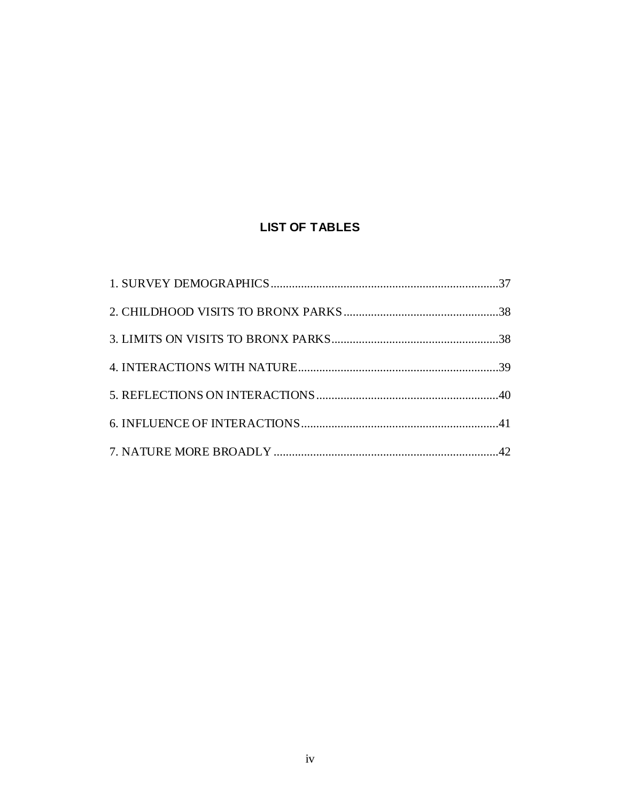# **LIST OF TABLES**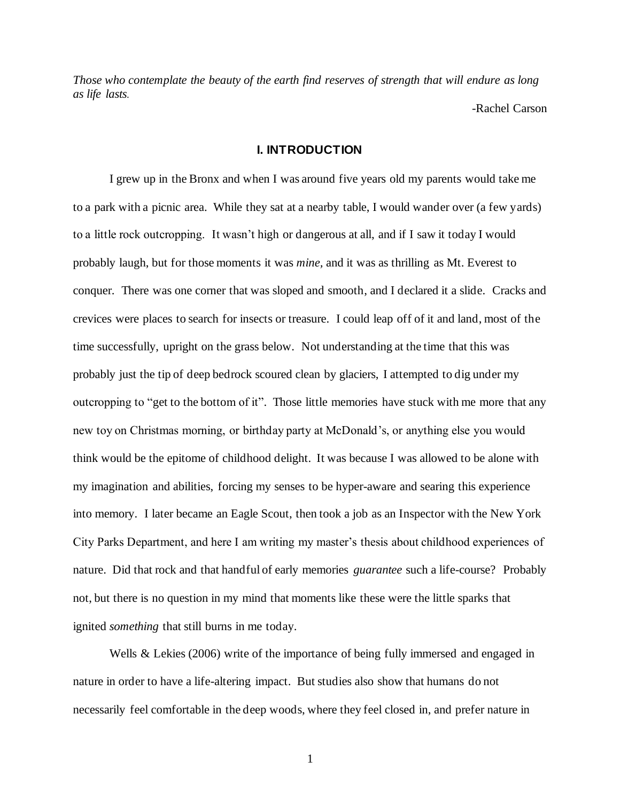*Those who contemplate the beauty of the earth find reserves of strength that will endure as long as life lasts.*

-Rachel Carson

#### **I. INTRODUCTION**

I grew up in the Bronx and when I was around five years old my parents would take me to a park with a picnic area. While they sat at a nearby table, I would wander over (a few yards) to a little rock outcropping. It wasn't high or dangerous at all, and if I saw it today I would probably laugh, but for those moments it was *mine,* and it was as thrilling as Mt. Everest to conquer. There was one corner that was sloped and smooth, and I declared it a slide. Cracks and crevices were places to search for insects or treasure. I could leap off of it and land, most of the time successfully, upright on the grass below. Not understanding at the time that this was probably just the tip of deep bedrock scoured clean by glaciers, I attempted to dig under my outcropping to "get to the bottom of it". Those little memories have stuck with me more that any new toy on Christmas morning, or birthday party at McDonald's, or anything else you would think would be the epitome of childhood delight. It was because I was allowed to be alone with my imagination and abilities, forcing my senses to be hyper-aware and searing this experience into memory. I later became an Eagle Scout, then took a job as an Inspector with the New York City Parks Department, and here I am writing my master's thesis about childhood experiences of nature. Did that rock and that handful of early memories *guarantee* such a life-course? Probably not, but there is no question in my mind that moments like these were the little sparks that ignited *something* that still burns in me today.

Wells & Lekies (2006) write of the importance of being fully immersed and engaged in nature in order to have a life-altering impact. But studies also show that humans do not necessarily feel comfortable in the deep woods, where they feel closed in, and prefer nature in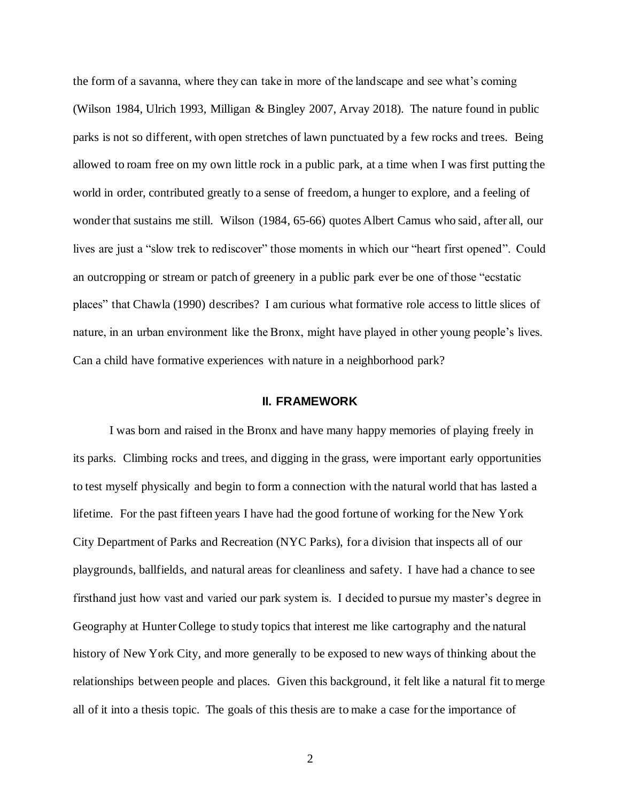the form of a savanna, where they can take in more of the landscape and see what's coming (Wilson 1984, Ulrich 1993, Milligan & Bingley 2007, Arvay 2018). The nature found in public parks is not so different, with open stretches of lawn punctuated by a few rocks and trees. Being allowed to roam free on my own little rock in a public park, at a time when I was first putting the world in order, contributed greatly to a sense of freedom, a hunger to explore, and a feeling of wonder that sustains me still. Wilson (1984, 65-66) quotes Albert Camus who said, after all, our lives are just a "slow trek to rediscover" those moments in which our "heart first opened". Could an outcropping or stream or patch of greenery in a public park ever be one of those "ecstatic places" that Chawla (1990) describes? I am curious what formative role access to little slices of nature, in an urban environment like the Bronx, might have played in other young people's lives. Can a child have formative experiences with nature in a neighborhood park?

#### **II. FRAMEWORK**

I was born and raised in the Bronx and have many happy memories of playing freely in its parks. Climbing rocks and trees, and digging in the grass, were important early opportunities to test myself physically and begin to form a connection with the natural world that has lasted a lifetime. For the past fifteen years I have had the good fortune of working for the New York City Department of Parks and Recreation (NYC Parks), for a division that inspects all of our playgrounds, ballfields, and natural areas for cleanliness and safety. I have had a chance to see firsthand just how vast and varied our park system is. I decided to pursue my master's degree in Geography at Hunter College to study topics that interest me like cartography and the natural history of New York City, and more generally to be exposed to new ways of thinking about the relationships between people and places. Given this background, it felt like a natural fit to merge all of it into a thesis topic. The goals of this thesis are to make a case for the importance of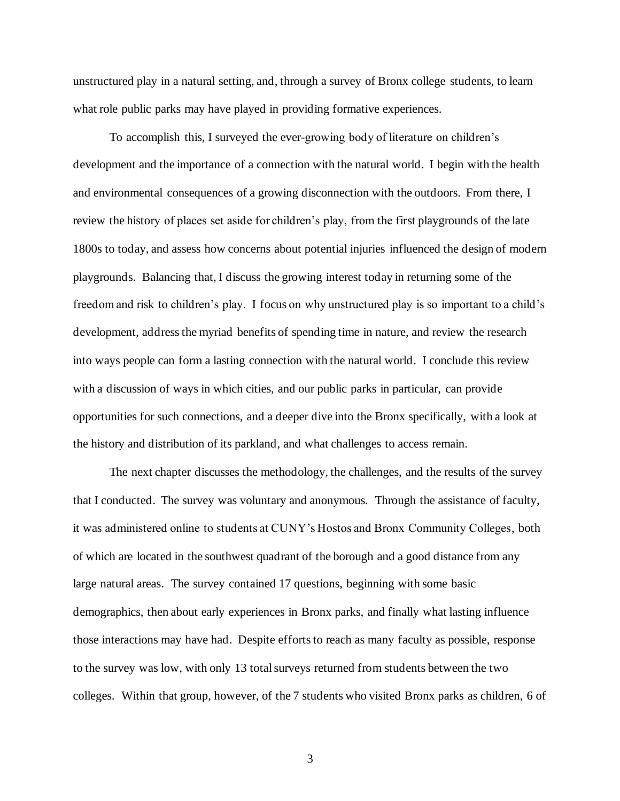unstructured play in a natural setting, and, through a survey of Bronx college students, to learn what role public parks may have played in providing formative experiences.

To accomplish this, I surveyed the ever-growing body of literature on children's development and the importance of a connection with the natural world. I begin with the health and environmental consequences of a growing disconnection with the outdoors. From there, I review the history of places set aside for children's play, from the first playgrounds of the late 1800s to today, and assess how concerns about potential injuries influenced the design of modern playgrounds. Balancing that, I discuss the growing interest today in returning some of the freedom and risk to children's play. I focus on why unstructured play is so important to a child's development, address the myriad benefits of spending time in nature, and review the research into ways people can form a lasting connection with the natural world. I conclude this review with a discussion of ways in which cities, and our public parks in particular, can provide opportunities for such connections, and a deeper dive into the Bronx specifically, with a look at the history and distribution of its parkland, and what challenges to access remain.

The next chapter discusses the methodology, the challenges, and the results of the survey that I conducted. The survey was voluntary and anonymous. Through the assistance of faculty, it was administered online to students at CUNY's Hostos and Bronx Community Colleges, both of which are located in the southwest quadrant of the borough and a good distance from any large natural areas. The survey contained 17 questions, beginning with some basic demographics, then about early experiences in Bronx parks, and finally what lasting influence those interactions may have had. Despite efforts to reach as many faculty as possible, response to the survey was low, with only 13 total surveys returned from students between the two colleges. Within that group, however, of the 7 students who visited Bronx parks as children, 6 of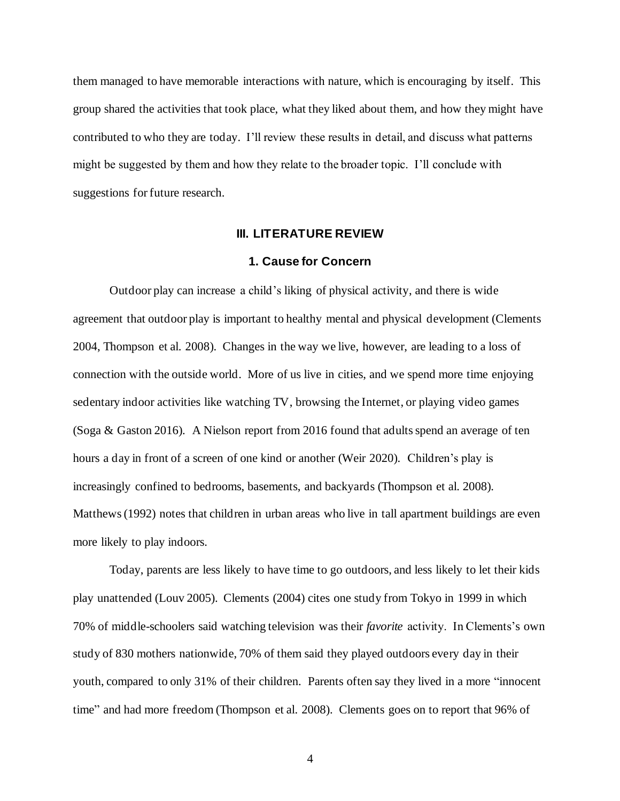them managed to have memorable interactions with nature, which is encouraging by itself. This group shared the activities that took place, what they liked about them, and how they might have contributed to who they are today. I'll review these results in detail, and discuss what patterns might be suggested by them and how they relate to the broader topic. I'll conclude with suggestions for future research.

#### **III. LITERATURE REVIEW**

#### **1. Cause for Concern**

Outdoor play can increase a child's liking of physical activity, and there is wide agreement that outdoor play is important to healthy mental and physical development (Clements 2004, Thompson et al. 2008). Changes in the way we live, however, are leading to a loss of connection with the outside world. More of us live in cities, and we spend more time enjoying sedentary indoor activities like watching TV, browsing the Internet, or playing video games (Soga & Gaston 2016). A Nielson report from 2016 found that adults spend an average of ten hours a day in front of a screen of one kind or another (Weir 2020). Children's play is increasingly confined to bedrooms, basements, and backyards (Thompson et al. 2008). Matthews (1992) notes that children in urban areas who live in tall apartment buildings are even more likely to play indoors.

Today, parents are less likely to have time to go outdoors, and less likely to let their kids play unattended (Louv 2005). Clements (2004) cites one study from Tokyo in 1999 in which 70% of middle-schoolers said watching television was their *favorite* activity. In Clements's own study of 830 mothers nationwide, 70% of them said they played outdoors every day in their youth, compared to only 31% of their children. Parents often say they lived in a more "innocent time" and had more freedom (Thompson et al. 2008). Clements goes on to report that 96% of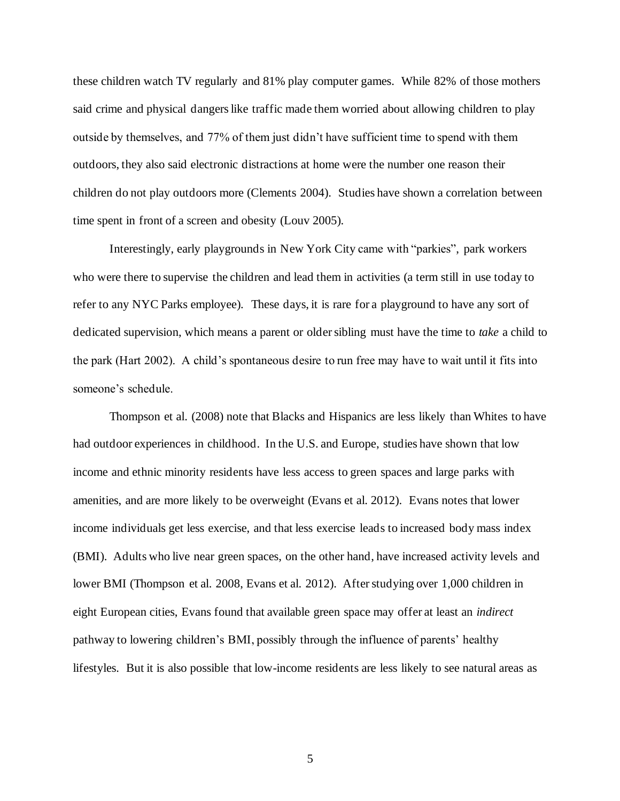these children watch TV regularly and 81% play computer games. While 82% of those mothers said crime and physical dangers like traffic made them worried about allowing children to play outside by themselves, and 77% of them just didn't have sufficient time to spend with them outdoors, they also said electronic distractions at home were the number one reason their children do not play outdoors more (Clements 2004). Studies have shown a correlation between time spent in front of a screen and obesity (Louv 2005).

Interestingly, early playgrounds in New York City came with "parkies", park workers who were there to supervise the children and lead them in activities (a term still in use today to refer to any NYC Parks employee). These days, it is rare for a playground to have any sort of dedicated supervision, which means a parent or older sibling must have the time to *take* a child to the park (Hart 2002). A child's spontaneous desire to run free may have to wait until it fits into someone's schedule.

Thompson et al. (2008) note that Blacks and Hispanics are less likely than Whites to have had outdoor experiences in childhood. In the U.S. and Europe, studies have shown that low income and ethnic minority residents have less access to green spaces and large parks with amenities, and are more likely to be overweight (Evans et al. 2012). Evans notes that lower income individuals get less exercise, and that less exercise leads to increased body mass index (BMI). Adults who live near green spaces, on the other hand, have increased activity levels and lower BMI (Thompson et al. 2008, Evans et al. 2012). After studying over 1,000 children in eight European cities, Evans found that available green space may offer at least an *indirect*  pathway to lowering children's BMI, possibly through the influence of parents' healthy lifestyles. But it is also possible that low-income residents are less likely to see natural areas as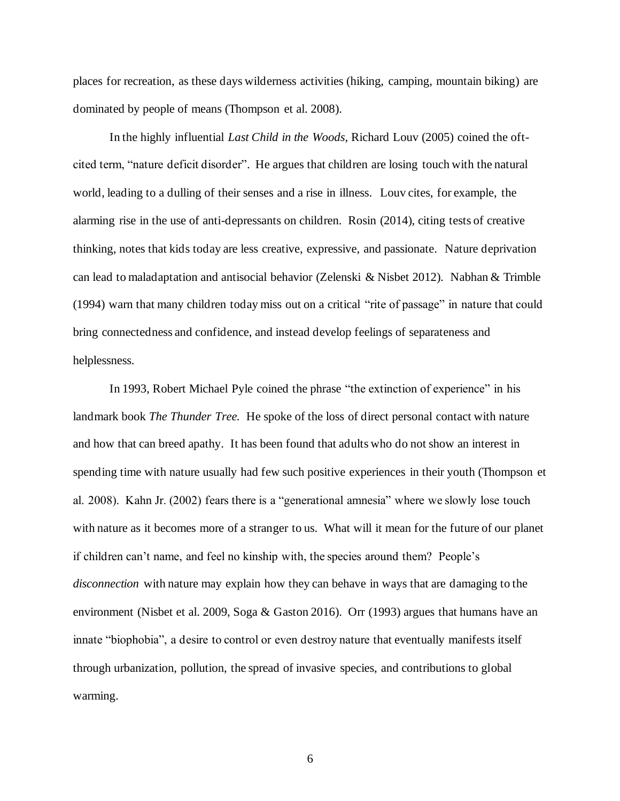places for recreation, as these days wilderness activities (hiking, camping, mountain biking) are dominated by people of means (Thompson et al. 2008).

In the highly influential *Last Child in the Woods*, Richard Louv (2005) coined the oftcited term, "nature deficit disorder". He argues that children are losing touch with the natural world, leading to a dulling of their senses and a rise in illness. Louv cites, for example, the alarming rise in the use of anti-depressants on children. Rosin (2014), citing tests of creative thinking, notes that kids today are less creative, expressive, and passionate. Nature deprivation can lead to maladaptation and antisocial behavior (Zelenski & Nisbet 2012). Nabhan & Trimble (1994) warn that many children today miss out on a critical "rite of passage" in nature that could bring connectedness and confidence, and instead develop feelings of separateness and helplessness.

In 1993, Robert Michael Pyle coined the phrase "the extinction of experience" in his landmark book *The Thunder Tree.* He spoke of the loss of direct personal contact with nature and how that can breed apathy. It has been found that adults who do not show an interest in spending time with nature usually had few such positive experiences in their youth (Thompson et al. 2008). Kahn Jr. (2002) fears there is a "generational amnesia" where we slowly lose touch with nature as it becomes more of a stranger to us. What will it mean for the future of our planet if children can't name, and feel no kinship with, the species around them? People's *disconnection* with nature may explain how they can behave in ways that are damaging to the environment (Nisbet et al. 2009, Soga & Gaston 2016). Orr (1993) argues that humans have an innate "biophobia", a desire to control or even destroy nature that eventually manifests itself through urbanization, pollution, the spread of invasive species, and contributions to global warming.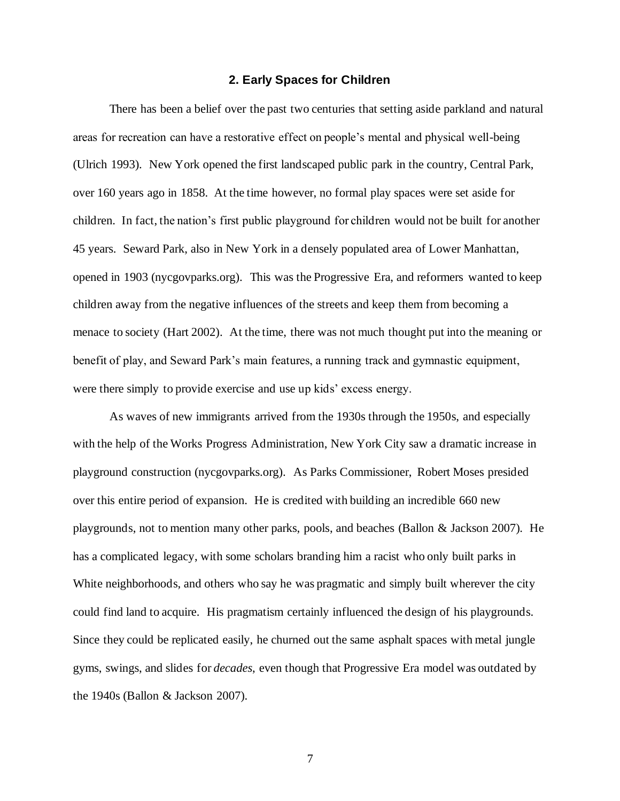#### **2. Early Spaces for Children**

There has been a belief over the past two centuries that setting aside parkland and natural areas for recreation can have a restorative effect on people's mental and physical well-being (Ulrich 1993). New York opened the first landscaped public park in the country, Central Park, over 160 years ago in 1858. At the time however, no formal play spaces were set aside for children. In fact, the nation's first public playground for children would not be built for another 45 years. Seward Park, also in New York in a densely populated area of Lower Manhattan, opened in 1903 (nycgovparks.org). This was the Progressive Era, and reformers wanted to keep children away from the negative influences of the streets and keep them from becoming a menace to society (Hart 2002). At the time, there was not much thought put into the meaning or benefit of play, and Seward Park's main features, a running track and gymnastic equipment, were there simply to provide exercise and use up kids' excess energy.

As waves of new immigrants arrived from the 1930s through the 1950s, and especially with the help of the Works Progress Administration, New York City saw a dramatic increase in playground construction (nycgovparks.org). As Parks Commissioner, Robert Moses presided over this entire period of expansion. He is credited with building an incredible 660 new playgrounds, not to mention many other parks, pools, and beaches (Ballon & Jackson 2007). He has a complicated legacy, with some scholars branding him a racist who only built parks in White neighborhoods, and others who say he was pragmatic and simply built wherever the city could find land to acquire. His pragmatism certainly influenced the design of his playgrounds. Since they could be replicated easily, he churned out the same asphalt spaces with metal jungle gyms, swings, and slides for *decades*, even though that Progressive Era model was outdated by the 1940s (Ballon & Jackson 2007).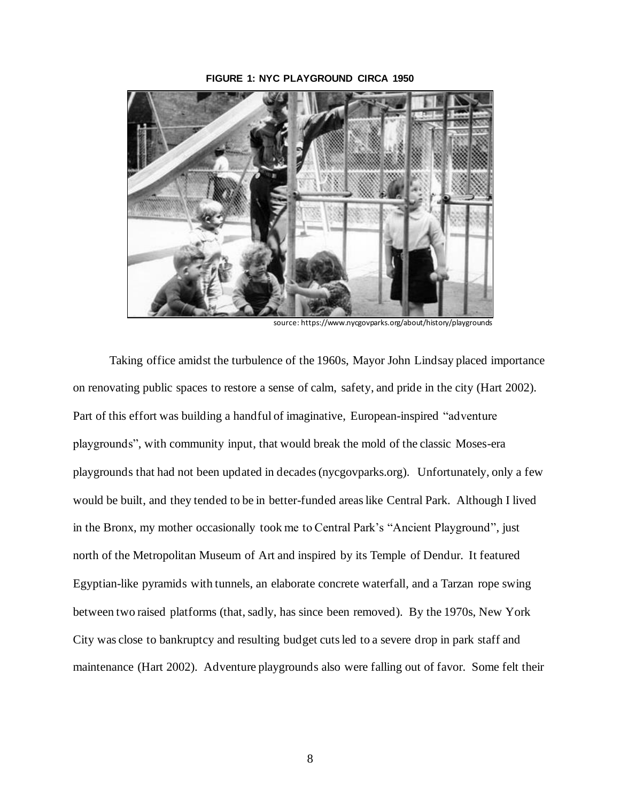#### **FIGURE 1: NYC PLAYGROUND CIRCA 1950**



source: https://www.nycgovparks.org/about/history/playgrounds

Taking office amidst the turbulence of the 1960s, Mayor John Lindsay placed importance on renovating public spaces to restore a sense of calm, safety, and pride in the city (Hart 2002). Part of this effort was building a handful of imaginative, European-inspired "adventure playgrounds", with community input, that would break the mold of the classic Moses-era playgrounds that had not been updated in decades(nycgovparks.org). Unfortunately, only a few would be built, and they tended to be in better-funded areas like Central Park. Although I lived in the Bronx, my mother occasionally took me to Central Park's "Ancient Playground", just north of the Metropolitan Museum of Art and inspired by its Temple of Dendur. It featured Egyptian-like pyramids with tunnels, an elaborate concrete waterfall, and a Tarzan rope swing between two raised platforms (that, sadly, has since been removed). By the 1970s, New York City was close to bankruptcy and resulting budget cuts led to a severe drop in park staff and maintenance (Hart 2002). Adventure playgrounds also were falling out of favor. Some felt their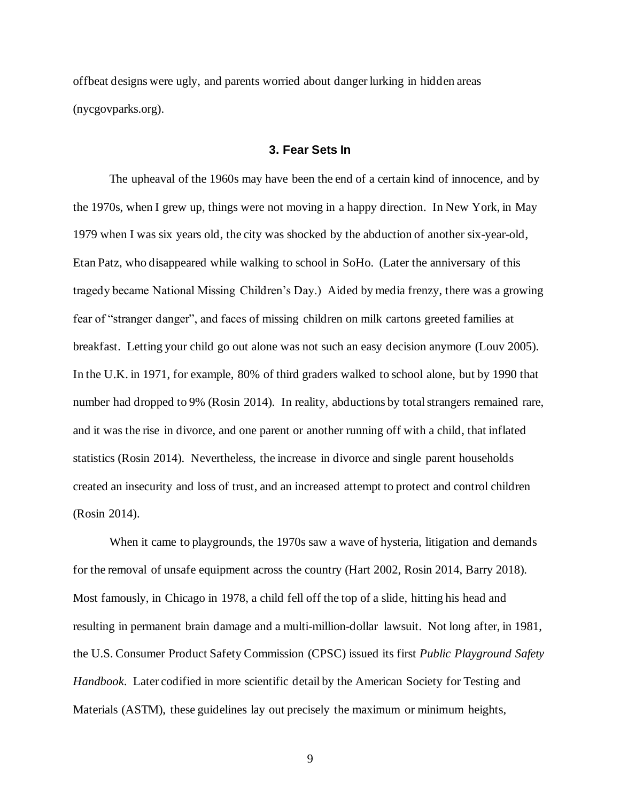offbeat designs were ugly, and parents worried about danger lurking in hidden areas (nycgovparks.org).

#### **3. Fear Sets In**

The upheaval of the 1960s may have been the end of a certain kind of innocence, and by the 1970s, when I grew up, things were not moving in a happy direction. In New York, in May 1979 when I was six years old, the city was shocked by the abduction of another six-year-old, Etan Patz, who disappeared while walking to school in SoHo. (Later the anniversary of this tragedy became National Missing Children's Day.) Aided by media frenzy, there was a growing fear of "stranger danger", and faces of missing children on milk cartons greeted families at breakfast. Letting your child go out alone was not such an easy decision anymore (Louv 2005). In the U.K. in 1971, for example, 80% of third graders walked to school alone, but by 1990 that number had dropped to 9% (Rosin 2014). In reality, abductions by total strangers remained rare, and it was the rise in divorce, and one parent or another running off with a child, that inflated statistics (Rosin 2014). Nevertheless, the increase in divorce and single parent households created an insecurity and loss of trust, and an increased attempt to protect and control children (Rosin 2014).

When it came to playgrounds, the 1970s saw a wave of hysteria, litigation and demands for the removal of unsafe equipment across the country (Hart 2002, Rosin 2014, Barry 2018). Most famously, in Chicago in 1978, a child fell off the top of a slide, hitting his head and resulting in permanent brain damage and a multi-million-dollar lawsuit. Not long after, in 1981, the U.S. Consumer Product Safety Commission (CPSC) issued its first *Public Playground Safety Handbook*. Later codified in more scientific detail by the American Society for Testing and Materials (ASTM), these guidelines lay out precisely the maximum or minimum heights,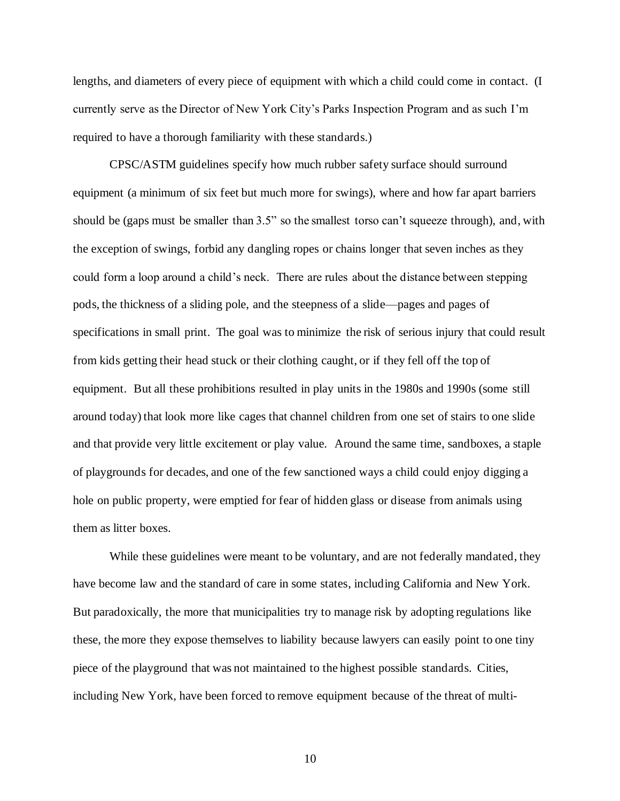lengths, and diameters of every piece of equipment with which a child could come in contact. (I currently serve as the Director of New York City's Parks Inspection Program and as such I'm required to have a thorough familiarity with these standards.)

CPSC/ASTM guidelines specify how much rubber safety surface should surround equipment (a minimum of six feet but much more for swings), where and how far apart barriers should be (gaps must be smaller than 3.5" so the smallest torso can't squeeze through), and, with the exception of swings, forbid any dangling ropes or chains longer that seven inches as they could form a loop around a child's neck. There are rules about the distance between stepping pods, the thickness of a sliding pole, and the steepness of a slide—pages and pages of specifications in small print. The goal was to minimize the risk of serious injury that could result from kids getting their head stuck or their clothing caught, or if they fell off the top of equipment. But all these prohibitions resulted in play units in the 1980s and 1990s (some still around today) that look more like cages that channel children from one set of stairs to one slide and that provide very little excitement or play value. Around the same time, sandboxes, a staple of playgrounds for decades, and one of the few sanctioned ways a child could enjoy digging a hole on public property, were emptied for fear of hidden glass or disease from animals using them as litter boxes.

While these guidelines were meant to be voluntary, and are not federally mandated, they have become law and the standard of care in some states, including California and New York. But paradoxically, the more that municipalities try to manage risk by adopting regulations like these, the more they expose themselves to liability because lawyers can easily point to one tiny piece of the playground that was not maintained to the highest possible standards. Cities, including New York, have been forced to remove equipment because of the threat of multi-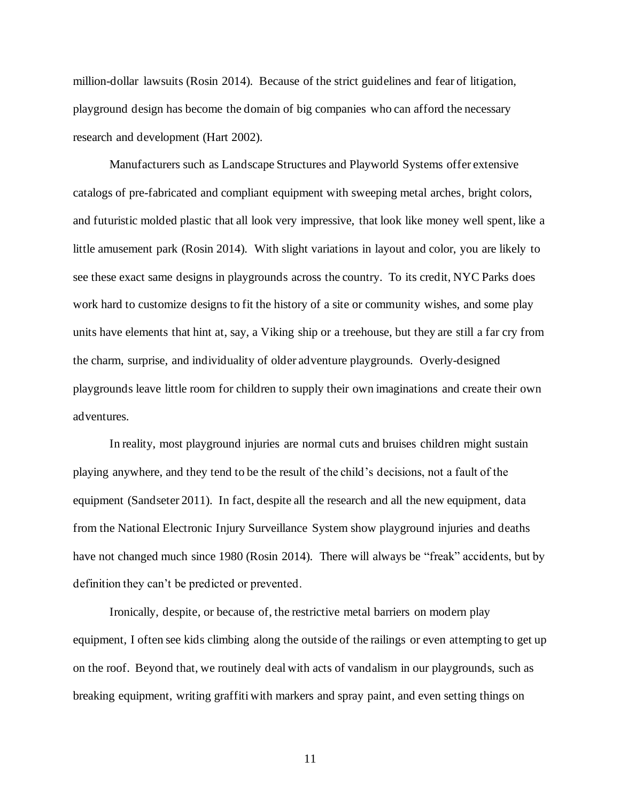million-dollar lawsuits (Rosin 2014). Because of the strict guidelines and fear of litigation, playground design has become the domain of big companies who can afford the necessary research and development (Hart 2002).

Manufacturers such as Landscape Structures and Playworld Systems offer extensive catalogs of pre-fabricated and compliant equipment with sweeping metal arches, bright colors, and futuristic molded plastic that all look very impressive, that look like money well spent, like a little amusement park (Rosin 2014). With slight variations in layout and color, you are likely to see these exact same designs in playgrounds across the country. To its credit, NYC Parks does work hard to customize designs to fit the history of a site or community wishes, and some play units have elements that hint at, say, a Viking ship or a treehouse, but they are still a far cry from the charm, surprise, and individuality of older adventure playgrounds. Overly-designed playgrounds leave little room for children to supply their own imaginations and create their own adventures.

In reality, most playground injuries are normal cuts and bruises children might sustain playing anywhere, and they tend to be the result of the child's decisions, not a fault of the equipment (Sandseter 2011). In fact, despite all the research and all the new equipment, data from the National Electronic Injury Surveillance System show playground injuries and deaths have not changed much since 1980 (Rosin 2014). There will always be "freak" accidents, but by definition they can't be predicted or prevented.

Ironically, despite, or because of, the restrictive metal barriers on modern play equipment, I often see kids climbing along the outside of the railings or even attempting to get up on the roof. Beyond that, we routinely deal with acts of vandalism in our playgrounds, such as breaking equipment, writing graffiti with markers and spray paint, and even setting things on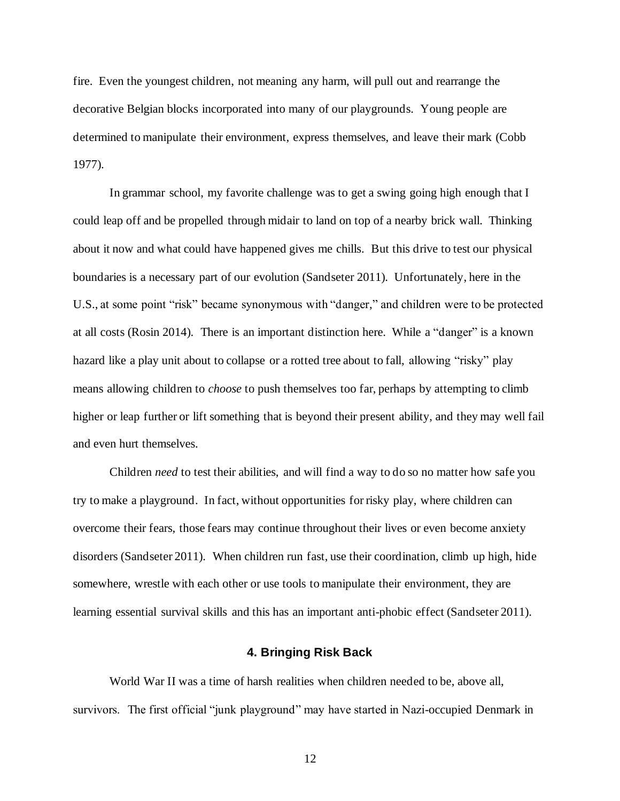fire. Even the youngest children, not meaning any harm, will pull out and rearrange the decorative Belgian blocks incorporated into many of our playgrounds. Young people are determined to manipulate their environment, express themselves, and leave their mark (Cobb 1977).

In grammar school, my favorite challenge was to get a swing going high enough that I could leap off and be propelled through midair to land on top of a nearby brick wall. Thinking about it now and what could have happened gives me chills. But this drive to test our physical boundaries is a necessary part of our evolution (Sandseter 2011). Unfortunately, here in the U.S., at some point "risk" became synonymous with "danger," and children were to be protected at all costs (Rosin 2014). There is an important distinction here. While a "danger" is a known hazard like a play unit about to collapse or a rotted tree about to fall, allowing "risky" play means allowing children to *choose* to push themselves too far, perhaps by attempting to climb higher or leap further or lift something that is beyond their present ability, and they may well fail and even hurt themselves.

Children *need* to test their abilities, and will find a way to do so no matter how safe you try to make a playground. In fact, without opportunities for risky play, where children can overcome their fears, those fears may continue throughout their lives or even become anxiety disorders (Sandseter 2011). When children run fast, use their coordination, climb up high, hide somewhere, wrestle with each other or use tools to manipulate their environment, they are learning essential survival skills and this has an important anti-phobic effect (Sandseter 2011).

#### **4. Bringing Risk Back**

World War II was a time of harsh realities when children needed to be, above all, survivors. The first official "junk playground" may have started in Nazi-occupied Denmark in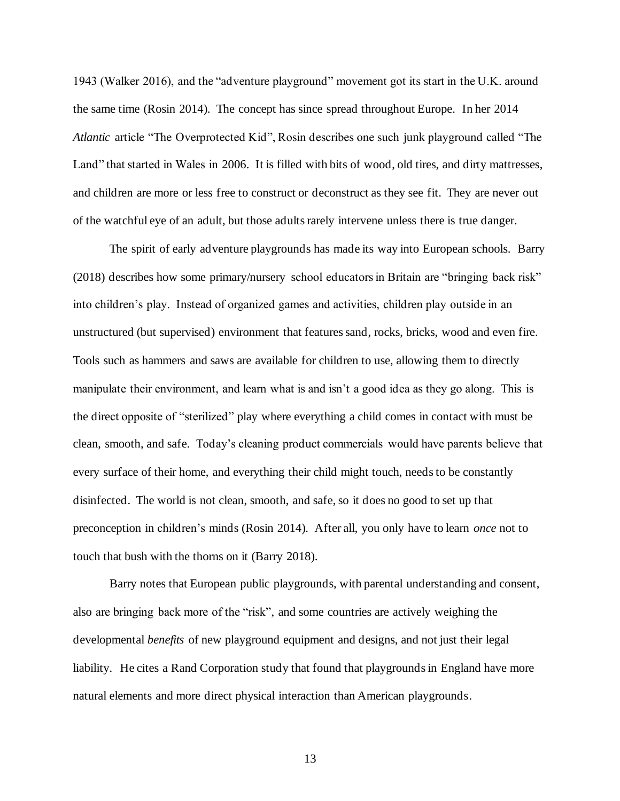1943 (Walker 2016), and the "adventure playground" movement got its start in the U.K. around the same time (Rosin 2014). The concept has since spread throughout Europe. In her 2014 *Atlantic* article "The Overprotected Kid", Rosin describes one such junk playground called "The Land" that started in Wales in 2006. It is filled with bits of wood, old tires, and dirty mattresses, and children are more or less free to construct or deconstruct as they see fit. They are never out of the watchful eye of an adult, but those adultsrarely intervene unless there is true danger.

The spirit of early adventure playgrounds has made its way into European schools. Barry (2018) describes how some primary/nursery school educators in Britain are "bringing back risk" into children's play. Instead of organized games and activities, children play outside in an unstructured (but supervised) environment that features sand, rocks, bricks, wood and even fire. Tools such as hammers and saws are available for children to use, allowing them to directly manipulate their environment, and learn what is and isn't a good idea as they go along. This is the direct opposite of "sterilized" play where everything a child comes in contact with must be clean, smooth, and safe. Today's cleaning product commercials would have parents believe that every surface of their home, and everything their child might touch, needs to be constantly disinfected. The world is not clean, smooth, and safe, so it does no good to set up that preconception in children's minds (Rosin 2014). After all, you only have to learn *once* not to touch that bush with the thorns on it (Barry 2018).

Barry notes that European public playgrounds, with parental understanding and consent, also are bringing back more of the "risk", and some countries are actively weighing the developmental *benefits* of new playground equipment and designs, and not just their legal liability. He cites a Rand Corporation study that found that playgrounds in England have more natural elements and more direct physical interaction than American playgrounds.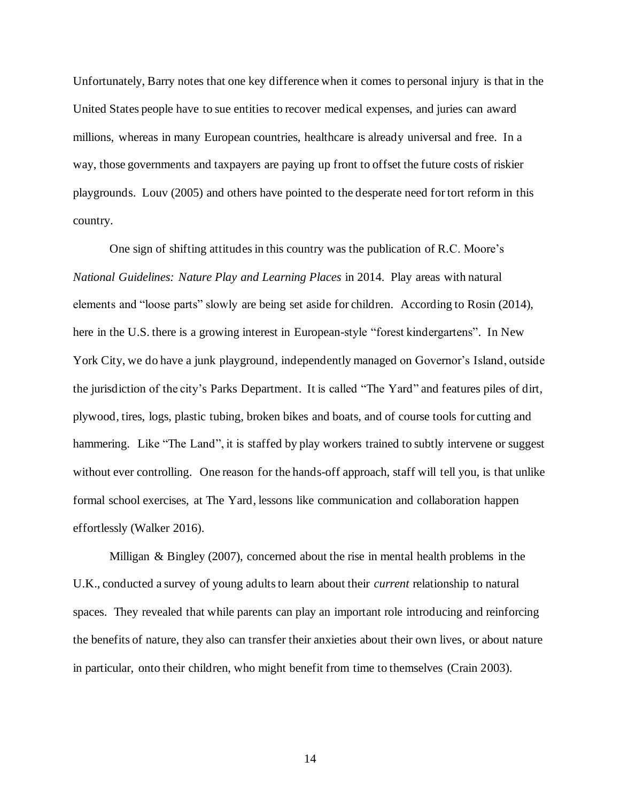Unfortunately, Barry notes that one key difference when it comes to personal injury is that in the United States people have to sue entities to recover medical expenses, and juries can award millions, whereas in many European countries, healthcare is already universal and free. In a way, those governments and taxpayers are paying up front to offset the future costs of riskier playgrounds. Louv (2005) and others have pointed to the desperate need for tort reform in this country.

One sign of shifting attitudes in this country was the publication of R.C. Moore's *National Guidelines: Nature Play and Learning Places* in 2014. Play areas with natural elements and "loose parts" slowly are being set aside for children. According to Rosin (2014), here in the U.S. there is a growing interest in European-style "forest kindergartens". In New York City, we do have a junk playground, independently managed on Governor's Island, outside the jurisdiction of the city's Parks Department. It is called "The Yard" and features piles of dirt, plywood, tires, logs, plastic tubing, broken bikes and boats, and of course tools for cutting and hammering. Like "The Land", it is staffed by play workers trained to subtly intervene or suggest without ever controlling. One reason for the hands-off approach, staff will tell you, is that unlike formal school exercises, at The Yard, lessons like communication and collaboration happen effortlessly (Walker 2016).

Milligan & Bingley (2007), concerned about the rise in mental health problems in the U.K., conducted a survey of young adults to learn about their *current* relationship to natural spaces. They revealed that while parents can play an important role introducing and reinforcing the benefits of nature, they also can transfer their anxieties about their own lives, or about nature in particular, onto their children, who might benefit from time to themselves (Crain 2003).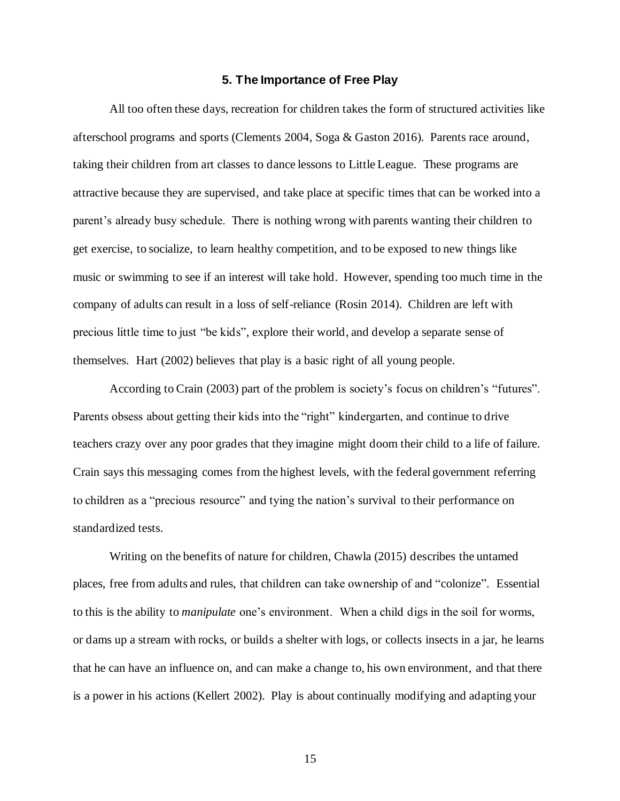#### **5. The Importance of Free Play**

All too often these days, recreation for children takes the form of structured activities like afterschool programs and sports (Clements 2004, Soga & Gaston 2016). Parents race around, taking their children from art classes to dance lessons to Little League. These programs are attractive because they are supervised, and take place at specific times that can be worked into a parent's already busy schedule. There is nothing wrong with parents wanting their children to get exercise, to socialize, to learn healthy competition, and to be exposed to new things like music or swimming to see if an interest will take hold. However, spending too much time in the company of adults can result in a loss of self-reliance (Rosin 2014). Children are left with precious little time to just "be kids", explore their world, and develop a separate sense of themselves. Hart (2002) believes that play is a basic right of all young people.

According to Crain (2003) part of the problem is society's focus on children's "futures". Parents obsess about getting their kids into the "right" kindergarten, and continue to drive teachers crazy over any poor grades that they imagine might doom their child to a life of failure. Crain says this messaging comes from the highest levels, with the federal government referring to children as a "precious resource" and tying the nation's survival to their performance on standardized tests.

Writing on the benefits of nature for children, Chawla (2015) describes the untamed places, free from adults and rules, that children can take ownership of and "colonize". Essential to this is the ability to *manipulate* one's environment. When a child digs in the soil for worms, or dams up a stream with rocks, or builds a shelter with logs, or collects insects in a jar, he learns that he can have an influence on, and can make a change to, his own environment, and that there is a power in his actions (Kellert 2002). Play is about continually modifying and adapting your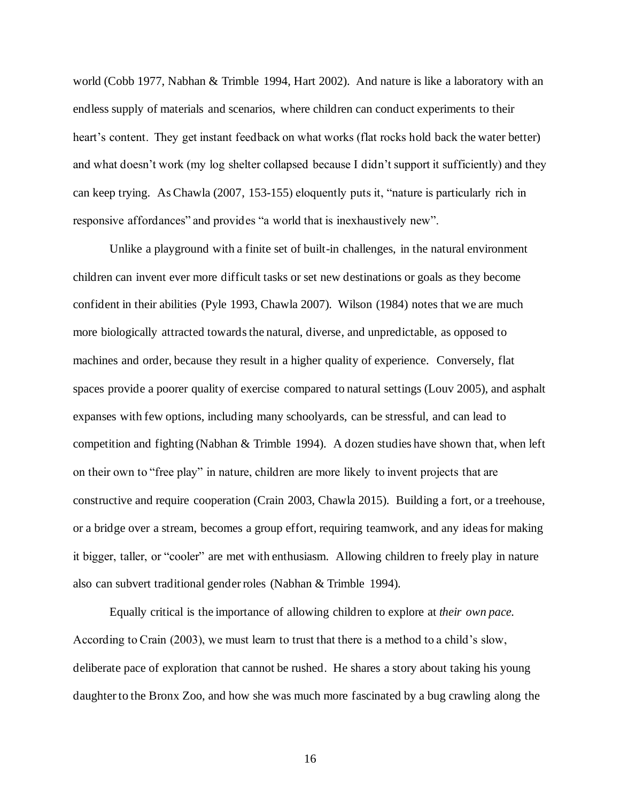world (Cobb 1977, Nabhan & Trimble 1994, Hart 2002). And nature is like a laboratory with an endless supply of materials and scenarios, where children can conduct experiments to their heart's content. They get instant feedback on what works (flat rocks hold back the water better) and what doesn't work (my log shelter collapsed because I didn't support it sufficiently) and they can keep trying. As Chawla (2007, 153-155) eloquently puts it, "nature is particularly rich in responsive affordances" and provides "a world that is inexhaustively new".

Unlike a playground with a finite set of built-in challenges, in the natural environment children can invent ever more difficult tasks or set new destinations or goals as they become confident in their abilities (Pyle 1993, Chawla 2007). Wilson (1984) notes that we are much more biologically attracted towards the natural, diverse, and unpredictable, as opposed to machines and order, because they result in a higher quality of experience. Conversely, flat spaces provide a poorer quality of exercise compared to natural settings (Louv 2005), and asphalt expanses with few options, including many schoolyards, can be stressful, and can lead to competition and fighting (Nabhan & Trimble 1994). A dozen studies have shown that, when left on their own to "free play" in nature, children are more likely to invent projects that are constructive and require cooperation (Crain 2003, Chawla 2015). Building a fort, or a treehouse, or a bridge over a stream, becomes a group effort, requiring teamwork, and any ideas for making it bigger, taller, or "cooler" are met with enthusiasm. Allowing children to freely play in nature also can subvert traditional gender roles (Nabhan & Trimble 1994).

Equally critical is the importance of allowing children to explore at *their own pace.*  According to Crain (2003), we must learn to trust that there is a method to a child's slow, deliberate pace of exploration that cannot be rushed. He shares a story about taking his young daughter to the Bronx Zoo, and how she was much more fascinated by a bug crawling along the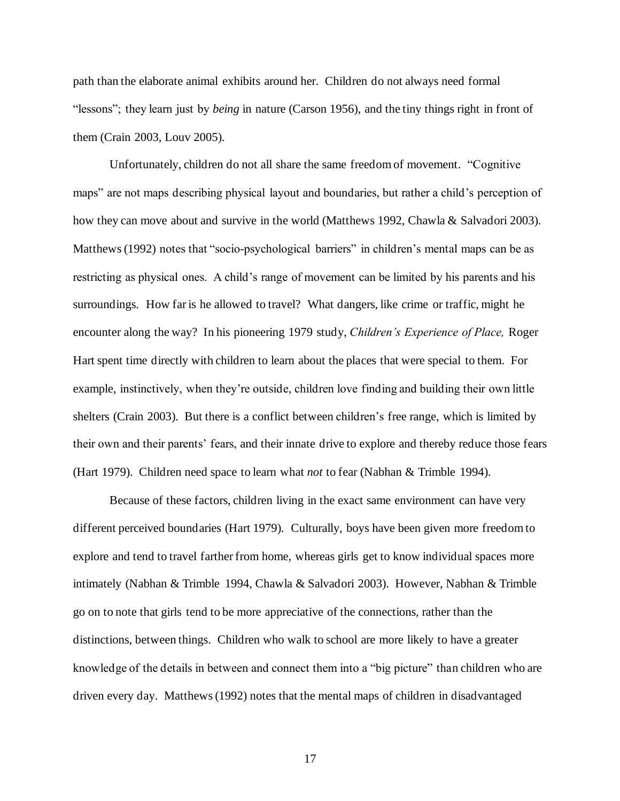path than the elaborate animal exhibits around her. Children do not always need formal "lessons"; they learn just by *being* in nature (Carson 1956), and the tiny things right in front of them (Crain 2003, Louv 2005).

Unfortunately, children do not all share the same freedom of movement. "Cognitive maps" are not maps describing physical layout and boundaries, but rather a child's perception of how they can move about and survive in the world (Matthews 1992, Chawla & Salvadori 2003). Matthews (1992) notes that "socio-psychological barriers" in children's mental maps can be as restricting as physical ones. A child's range of movement can be limited by his parents and his surroundings. How far is he allowed to travel? What dangers, like crime or traffic, might he encounter along the way? In his pioneering 1979 study, *Children's Experience of Place,* Roger Hart spent time directly with children to learn about the places that were special to them. For example, instinctively, when they're outside, children love finding and building their own little shelters (Crain 2003). But there is a conflict between children's free range, which is limited by their own and their parents' fears, and their innate drive to explore and thereby reduce those fears (Hart 1979). Children need space to learn what *not* to fear (Nabhan & Trimble 1994).

Because of these factors, children living in the exact same environment can have very different perceived boundaries (Hart 1979). Culturally, boys have been given more freedom to explore and tend to travel farther from home, whereas girls get to know individual spaces more intimately (Nabhan & Trimble 1994, Chawla & Salvadori 2003). However, Nabhan & Trimble go on to note that girls tend to be more appreciative of the connections, rather than the distinctions, between things. Children who walk to school are more likely to have a greater knowledge of the details in between and connect them into a "big picture" than children who are driven every day. Matthews (1992) notes that the mental maps of children in disadvantaged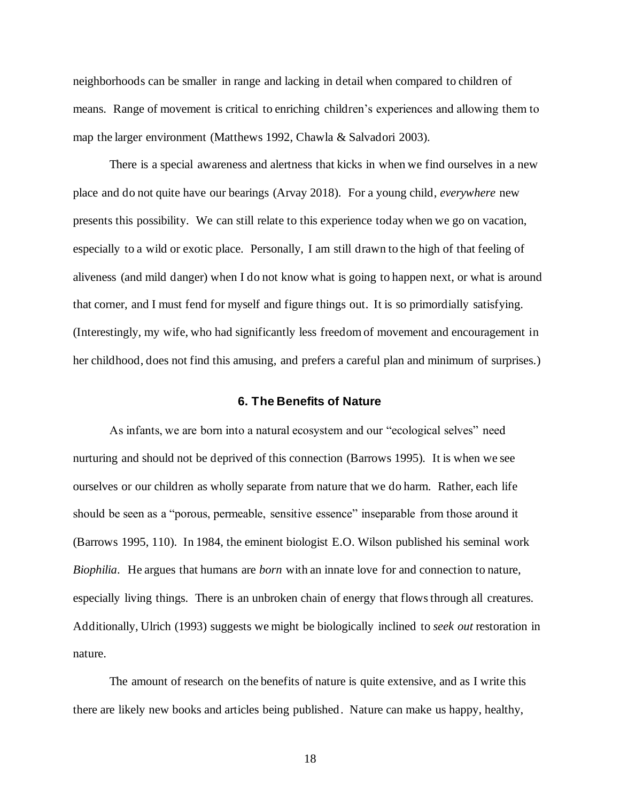neighborhoods can be smaller in range and lacking in detail when compared to children of means. Range of movement is critical to enriching children's experiences and allowing them to map the larger environment (Matthews 1992, Chawla & Salvadori 2003).

There is a special awareness and alertness that kicks in when we find ourselves in a new place and do not quite have our bearings (Arvay 2018). For a young child, *everywhere* new presents this possibility. We can still relate to this experience today when we go on vacation, especially to a wild or exotic place. Personally, I am still drawn to the high of that feeling of aliveness (and mild danger) when I do not know what is going to happen next, or what is around that corner, and I must fend for myself and figure things out. It is so primordially satisfying. (Interestingly, my wife, who had significantly less freedom of movement and encouragement in her childhood, does not find this amusing, and prefers a careful plan and minimum of surprises.)

#### **6. The Benefits of Nature**

As infants, we are born into a natural ecosystem and our "ecological selves" need nurturing and should not be deprived of this connection (Barrows 1995). It is when we see ourselves or our children as wholly separate from nature that we do harm. Rather, each life should be seen as a "porous, permeable, sensitive essence" inseparable from those around it (Barrows 1995, 110). In 1984, the eminent biologist E.O. Wilson published his seminal work *Biophilia*. He argues that humans are *born* with an innate love for and connection to nature, especially living things. There is an unbroken chain of energy that flows through all creatures. Additionally, Ulrich (1993) suggests we might be biologically inclined to *seek out* restoration in nature.

The amount of research on the benefits of nature is quite extensive, and as I write this there are likely new books and articles being published. Nature can make us happy, healthy,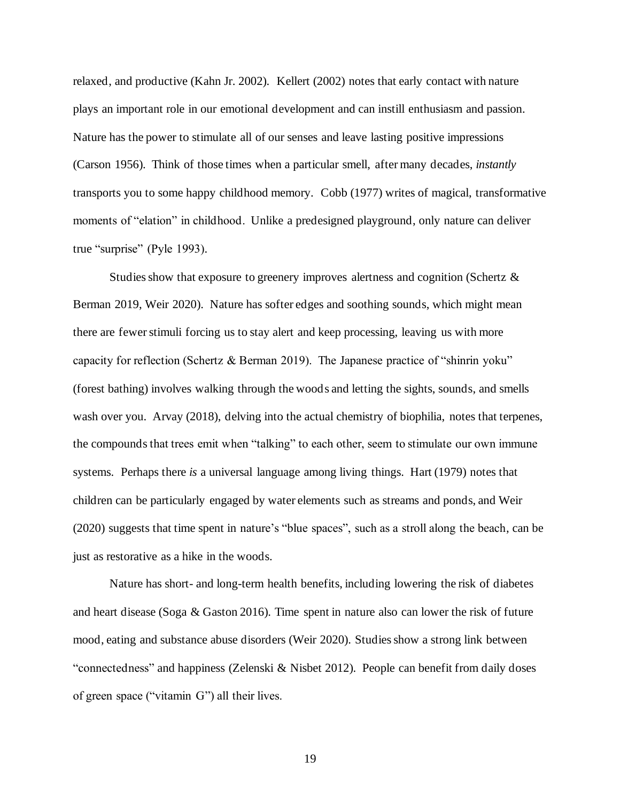relaxed, and productive (Kahn Jr. 2002). Kellert (2002) notes that early contact with nature plays an important role in our emotional development and can instill enthusiasm and passion. Nature has the power to stimulate all of our senses and leave lasting positive impressions (Carson 1956). Think of those times when a particular smell, after many decades, *instantly* transports you to some happy childhood memory. Cobb (1977) writes of magical, transformative moments of "elation" in childhood. Unlike a predesigned playground, only nature can deliver true "surprise" (Pyle 1993).

Studies show that exposure to greenery improves alertness and cognition (Schertz  $\&$ Berman 2019, Weir 2020). Nature has softer edges and soothing sounds, which might mean there are fewerstimuli forcing us to stay alert and keep processing, leaving us with more capacity for reflection (Schertz & Berman 2019). The Japanese practice of "shinrin yoku" (forest bathing) involves walking through the woods and letting the sights, sounds, and smells wash over you. Arvay (2018), delving into the actual chemistry of biophilia, notes that terpenes, the compounds that trees emit when "talking" to each other, seem to stimulate our own immune systems. Perhaps there *is* a universal language among living things. Hart (1979) notes that children can be particularly engaged by water elements such as streams and ponds, and Weir (2020) suggests that time spent in nature's "blue spaces", such as a stroll along the beach, can be just as restorative as a hike in the woods.

Nature has short- and long-term health benefits, including lowering the risk of diabetes and heart disease (Soga & Gaston 2016). Time spent in nature also can lower the risk of future mood, eating and substance abuse disorders (Weir 2020). Studies show a strong link between "connectedness" and happiness (Zelenski & Nisbet 2012). People can benefit from daily doses of green space ("vitamin G") all their lives.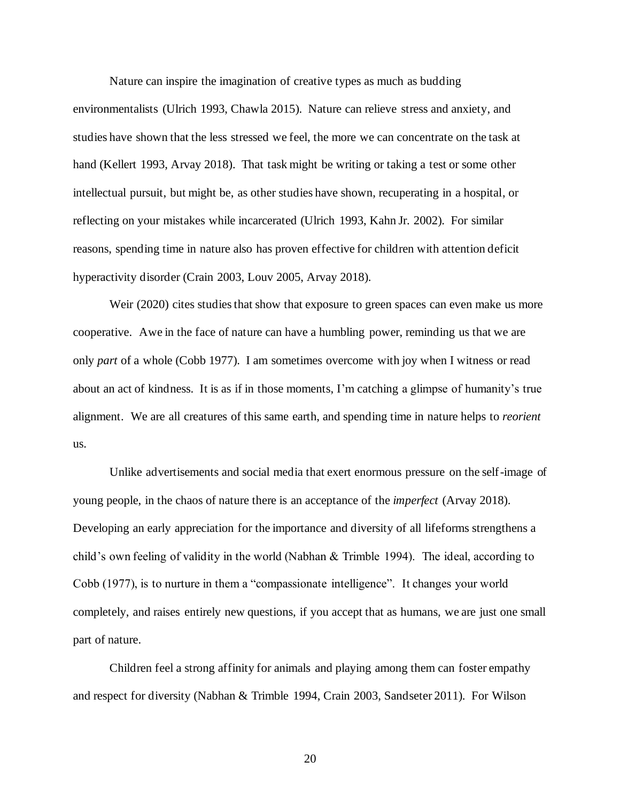Nature can inspire the imagination of creative types as much as budding

environmentalists (Ulrich 1993, Chawla 2015). Nature can relieve stress and anxiety, and studies have shown that the less stressed we feel, the more we can concentrate on the task at hand (Kellert 1993, Arvay 2018). That task might be writing or taking a test or some other intellectual pursuit, but might be, as other studies have shown, recuperating in a hospital, or reflecting on your mistakes while incarcerated (Ulrich 1993, Kahn Jr. 2002). For similar reasons, spending time in nature also has proven effective for children with attention deficit hyperactivity disorder (Crain 2003, Louv 2005, Arvay 2018).

Weir (2020) cites studies that show that exposure to green spaces can even make us more cooperative. Awe in the face of nature can have a humbling power, reminding us that we are only *part* of a whole (Cobb 1977). I am sometimes overcome with joy when I witness or read about an act of kindness. It is as if in those moments, I'm catching a glimpse of humanity's true alignment. We are all creatures of this same earth, and spending time in nature helps to *reorient* us.

Unlike advertisements and social media that exert enormous pressure on the self-image of young people, in the chaos of nature there is an acceptance of the *imperfect* (Arvay 2018). Developing an early appreciation for the importance and diversity of all lifeforms strengthens a child's own feeling of validity in the world (Nabhan & Trimble 1994). The ideal, according to Cobb (1977), is to nurture in them a "compassionate intelligence". It changes your world completely, and raises entirely new questions, if you accept that as humans, we are just one small part of nature.

Children feel a strong affinity for animals and playing among them can foster empathy and respect for diversity (Nabhan & Trimble 1994, Crain 2003, Sandseter 2011). For Wilson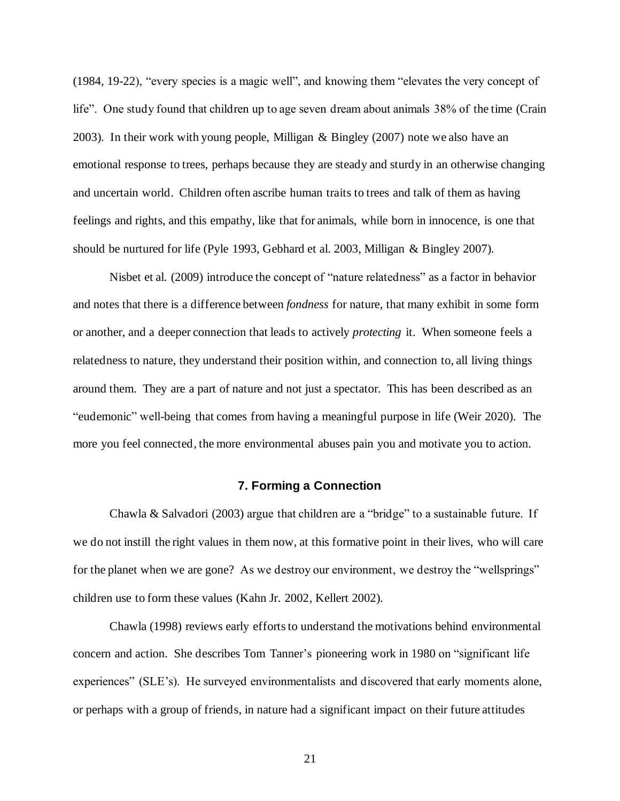(1984, 19-22), "every species is a magic well", and knowing them "elevates the very concept of life". One study found that children up to age seven dream about animals 38% of the time (Crain 2003). In their work with young people, Milligan & Bingley (2007) note we also have an emotional response to trees, perhaps because they are steady and sturdy in an otherwise changing and uncertain world. Children often ascribe human traits to trees and talk of them as having feelings and rights, and this empathy, like that for animals, while born in innocence, is one that should be nurtured for life (Pyle 1993, Gebhard et al. 2003, Milligan & Bingley 2007).

Nisbet et al. (2009) introduce the concept of "nature relatedness" as a factor in behavior and notes that there is a difference between *fondness* for nature, that many exhibit in some form or another, and a deeper connection that leads to actively *protecting* it. When someone feels a relatedness to nature, they understand their position within, and connection to, all living things around them. They are a part of nature and not just a spectator. This has been described as an "eudemonic" well-being that comes from having a meaningful purpose in life (Weir 2020). The more you feel connected, the more environmental abuses pain you and motivate you to action.

#### **7. Forming a Connection**

Chawla & Salvadori (2003) argue that children are a "bridge" to a sustainable future. If we do not instill the right values in them now, at this formative point in their lives, who will care for the planet when we are gone? As we destroy our environment, we destroy the "wellsprings" children use to form these values (Kahn Jr. 2002, Kellert 2002).

Chawla (1998) reviews early efforts to understand the motivations behind environmental concern and action. She describes Tom Tanner's pioneering work in 1980 on "significant life experiences" (SLE's). He surveyed environmentalists and discovered that early moments alone, or perhaps with a group of friends, in nature had a significant impact on their future attitudes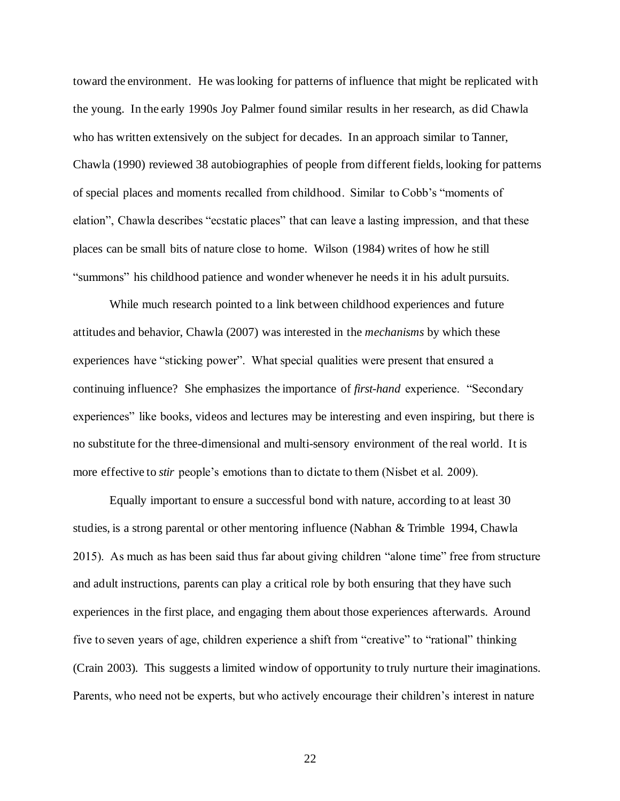toward the environment. He was looking for patterns of influence that might be replicated with the young. In the early 1990s Joy Palmer found similar results in her research, as did Chawla who has written extensively on the subject for decades. In an approach similar to Tanner, Chawla (1990) reviewed 38 autobiographies of people from different fields, looking for patterns of special places and moments recalled from childhood. Similar to Cobb's "moments of elation", Chawla describes "ecstatic places" that can leave a lasting impression, and that these places can be small bits of nature close to home. Wilson (1984) writes of how he still "summons" his childhood patience and wonder whenever he needs it in his adult pursuits.

While much research pointed to a link between childhood experiences and future attitudes and behavior, Chawla (2007) was interested in the *mechanisms* by which these experiences have "sticking power". What special qualities were present that ensured a continuing influence? She emphasizes the importance of *first-hand* experience. "Secondary experiences" like books, videos and lectures may be interesting and even inspiring, but there is no substitute for the three-dimensional and multi-sensory environment of the real world. It is more effective to *stir* people's emotions than to dictate to them (Nisbet et al. 2009).

Equally important to ensure a successful bond with nature, according to at least 30 studies, is a strong parental or other mentoring influence (Nabhan & Trimble 1994, Chawla 2015). As much as has been said thus far about giving children "alone time" free from structure and adult instructions, parents can play a critical role by both ensuring that they have such experiences in the first place, and engaging them about those experiences afterwards. Around five to seven years of age, children experience a shift from "creative" to "rational" thinking (Crain 2003). This suggests a limited window of opportunity to truly nurture their imaginations. Parents, who need not be experts, but who actively encourage their children's interest in nature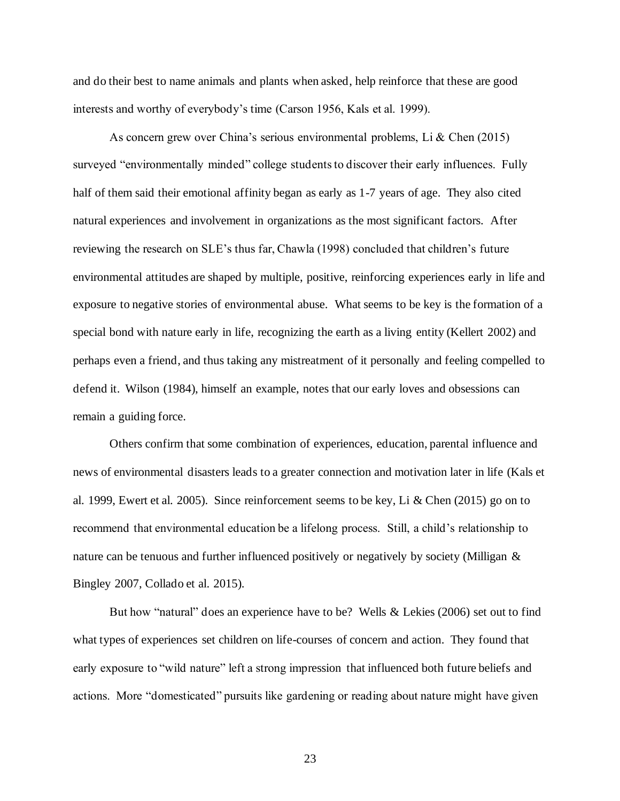and do their best to name animals and plants when asked, help reinforce that these are good interests and worthy of everybody's time (Carson 1956, Kals et al. 1999).

As concern grew over China's serious environmental problems, Li  $\&$  Chen (2015) surveyed "environmentally minded" college students to discover their early influences. Fully half of them said their emotional affinity began as early as 1-7 years of age. They also cited natural experiences and involvement in organizations as the most significant factors. After reviewing the research on SLE's thus far, Chawla (1998) concluded that children's future environmental attitudes are shaped by multiple, positive, reinforcing experiences early in life and exposure to negative stories of environmental abuse. What seems to be key is the formation of a special bond with nature early in life, recognizing the earth as a living entity (Kellert 2002) and perhaps even a friend, and thus taking any mistreatment of it personally and feeling compelled to defend it. Wilson (1984), himself an example, notes that our early loves and obsessions can remain a guiding force.

Others confirm that some combination of experiences, education, parental influence and news of environmental disasters leads to a greater connection and motivation later in life (Kals et al. 1999, Ewert et al. 2005). Since reinforcement seems to be key, Li & Chen (2015) go on to recommend that environmental education be a lifelong process. Still, a child's relationship to nature can be tenuous and further influenced positively or negatively by society (Milligan & Bingley 2007, Collado et al. 2015).

But how "natural" does an experience have to be? Wells & Lekies (2006) set out to find what types of experiences set children on life-courses of concern and action. They found that early exposure to "wild nature" left a strong impression that influenced both future beliefs and actions. More "domesticated" pursuits like gardening or reading about nature might have given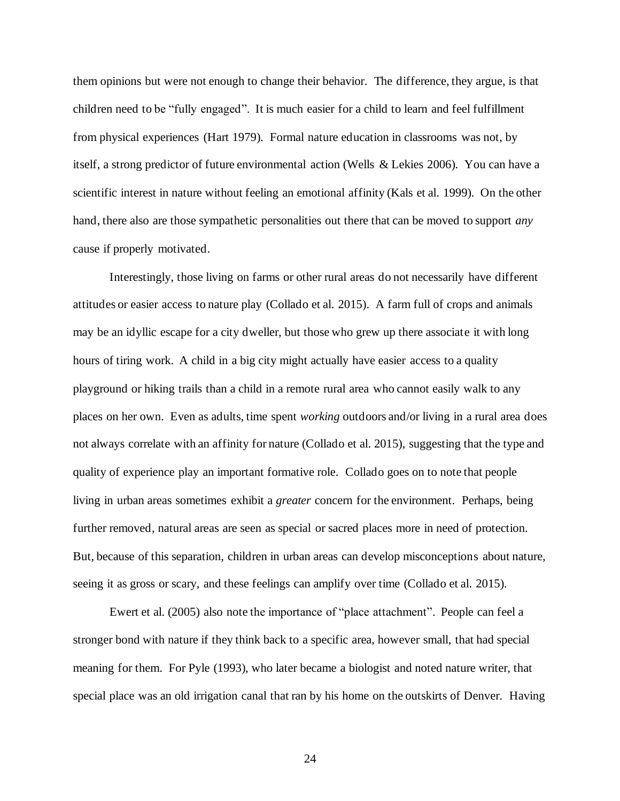them opinions but were not enough to change their behavior. The difference, they argue, is that children need to be "fully engaged". It is much easier for a child to learn and feel fulfillment from physical experiences (Hart 1979). Formal nature education in classrooms was not, by itself, a strong predictor of future environmental action (Wells & Lekies 2006). You can have a scientific interest in nature without feeling an emotional affinity (Kals et al. 1999). On the other hand, there also are those sympathetic personalities out there that can be moved to support *any*  cause if properly motivated.

Interestingly, those living on farms or other rural areas do not necessarily have different attitudes or easier access to nature play (Collado et al. 2015). A farm full of crops and animals may be an idyllic escape for a city dweller, but those who grew up there associate it with long hours of tiring work. A child in a big city might actually have easier access to a quality playground or hiking trails than a child in a remote rural area who cannot easily walk to any places on her own. Even as adults, time spent *working* outdoors and/or living in a rural area does not always correlate with an affinity for nature (Collado et al. 2015), suggesting that the type and quality of experience play an important formative role. Collado goes on to note that people living in urban areas sometimes exhibit a *greater* concern for the environment. Perhaps, being further removed, natural areas are seen as special or sacred places more in need of protection. But, because of this separation, children in urban areas can develop misconceptions about nature, seeing it as gross or scary, and these feelings can amplify over time (Collado et al. 2015).

Ewert et al. (2005) also note the importance of "place attachment". People can feel a stronger bond with nature if they think back to a specific area, however small, that had special meaning for them. For Pyle (1993), who later became a biologist and noted nature writer, that special place was an old irrigation canal that ran by his home on the outskirts of Denver. Having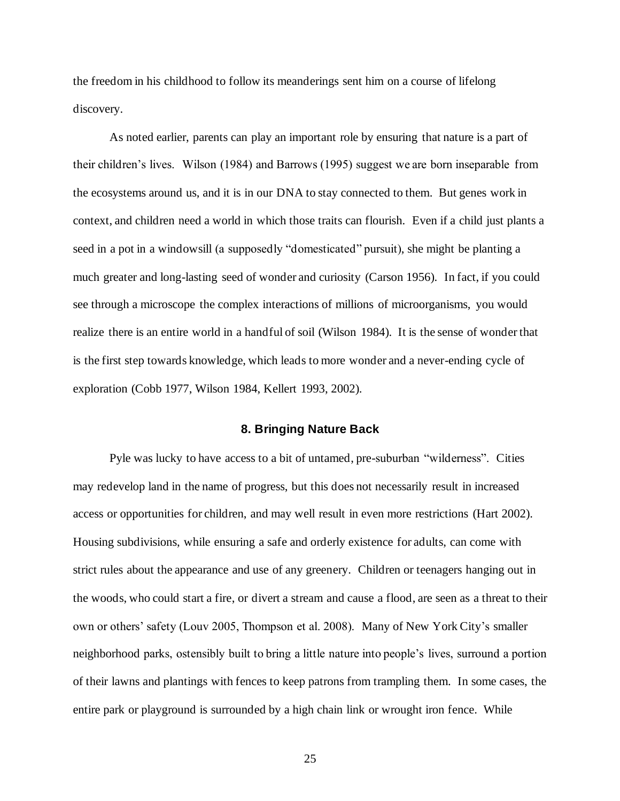the freedom in his childhood to follow its meanderings sent him on a course of lifelong discovery.

As noted earlier, parents can play an important role by ensuring that nature is a part of their children's lives. Wilson (1984) and Barrows (1995) suggest we are born inseparable from the ecosystems around us, and it is in our DNA to stay connected to them. But genes work in context, and children need a world in which those traits can flourish. Even if a child just plants a seed in a pot in a windowsill (a supposedly "domesticated" pursuit), she might be planting a much greater and long-lasting seed of wonder and curiosity (Carson 1956). In fact, if you could see through a microscope the complex interactions of millions of microorganisms, you would realize there is an entire world in a handful of soil (Wilson 1984). It is the sense of wonder that is the first step towards knowledge, which leads to more wonder and a never-ending cycle of exploration (Cobb 1977, Wilson 1984, Kellert 1993, 2002).

#### **8. Bringing Nature Back**

Pyle was lucky to have access to a bit of untamed, pre-suburban "wilderness". Cities may redevelop land in the name of progress, but this does not necessarily result in increased access or opportunities for children, and may well result in even more restrictions (Hart 2002). Housing subdivisions, while ensuring a safe and orderly existence for adults, can come with strict rules about the appearance and use of any greenery. Children or teenagers hanging out in the woods, who could start a fire, or divert a stream and cause a flood, are seen as a threat to their own or others' safety (Louv 2005, Thompson et al. 2008). Many of New York City's smaller neighborhood parks, ostensibly built to bring a little nature into people's lives, surround a portion of their lawns and plantings with fences to keep patrons from trampling them. In some cases, the entire park or playground is surrounded by a high chain link or wrought iron fence. While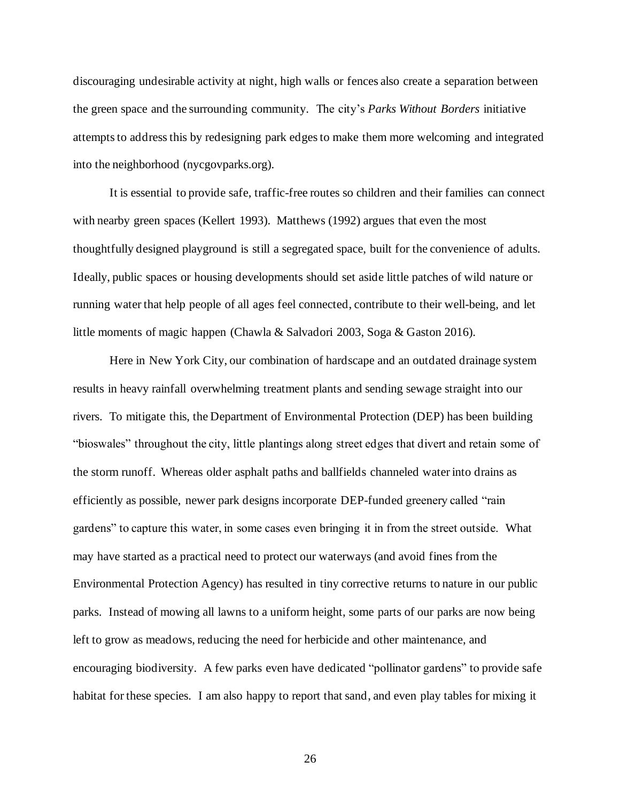discouraging undesirable activity at night, high walls or fences also create a separation between the green space and the surrounding community. The city's *Parks Without Borders* initiative attempts to address this by redesigning park edges to make them more welcoming and integrated into the neighborhood (nycgovparks.org).

It is essential to provide safe, traffic-free routes so children and their families can connect with nearby green spaces (Kellert 1993). Matthews (1992) argues that even the most thoughtfully designed playground is still a segregated space, built for the convenience of adults. Ideally, public spaces or housing developments should set aside little patches of wild nature or running water that help people of all ages feel connected, contribute to their well-being, and let little moments of magic happen (Chawla & Salvadori 2003, Soga & Gaston 2016).

Here in New York City, our combination of hardscape and an outdated drainage system results in heavy rainfall overwhelming treatment plants and sending sewage straight into our rivers. To mitigate this, the Department of Environmental Protection (DEP) has been building "bioswales" throughout the city, little plantings along street edges that divert and retain some of the storm runoff. Whereas older asphalt paths and ballfields channeled water into drains as efficiently as possible, newer park designs incorporate DEP-funded greenery called "rain gardens" to capture this water, in some cases even bringing it in from the street outside. What may have started as a practical need to protect our waterways (and avoid fines from the Environmental Protection Agency) has resulted in tiny corrective returns to nature in our public parks. Instead of mowing all lawns to a uniform height, some parts of our parks are now being left to grow as meadows, reducing the need for herbicide and other maintenance, and encouraging biodiversity. A few parks even have dedicated "pollinator gardens" to provide safe habitat for these species. I am also happy to report that sand, and even play tables for mixing it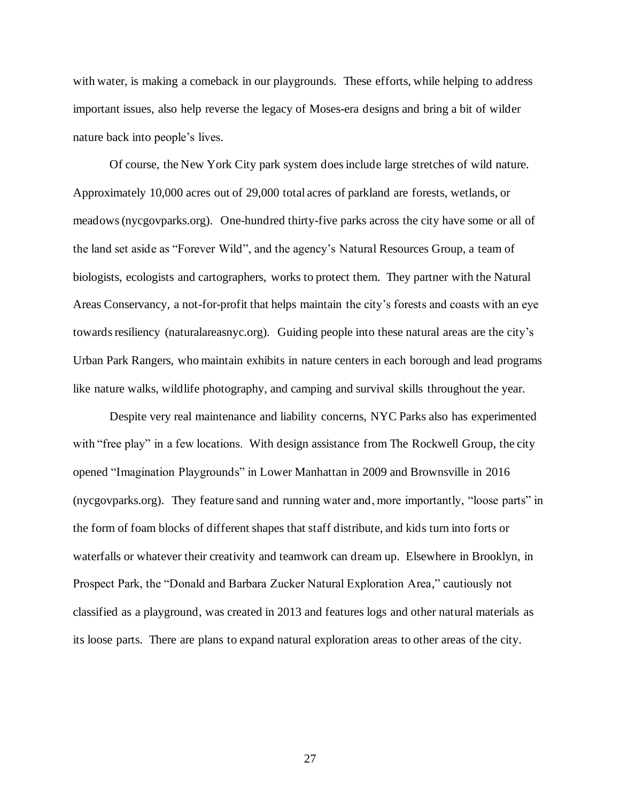with water, is making a comeback in our playgrounds. These efforts, while helping to address important issues, also help reverse the legacy of Moses-era designs and bring a bit of wilder nature back into people's lives.

Of course, the New York City park system does include large stretches of wild nature. Approximately 10,000 acres out of 29,000 total acres of parkland are forests, wetlands, or meadows(nycgovparks.org). One-hundred thirty-five parks across the city have some or all of the land set aside as "Forever Wild", and the agency's Natural Resources Group, a team of biologists, ecologists and cartographers, works to protect them. They partner with the Natural Areas Conservancy, a not-for-profit that helps maintain the city's forests and coasts with an eye towards resiliency (naturalareasnyc.org). Guiding people into these natural areas are the city's Urban Park Rangers, who maintain exhibits in nature centers in each borough and lead programs like nature walks, wildlife photography, and camping and survival skills throughout the year.

Despite very real maintenance and liability concerns, NYC Parks also has experimented with "free play" in a few locations. With design assistance from The Rockwell Group, the city opened "Imagination Playgrounds" in Lower Manhattan in 2009 and Brownsville in 2016 (nycgovparks.org). They feature sand and running water and, more importantly, "loose parts" in the form of foam blocks of different shapes that staff distribute, and kids turn into forts or waterfalls or whatever their creativity and teamwork can dream up. Elsewhere in Brooklyn, in Prospect Park, the "Donald and Barbara Zucker Natural Exploration Area," cautiously not classified as a playground, was created in 2013 and features logs and other natural materials as its loose parts. There are plans to expand natural exploration areas to other areas of the city.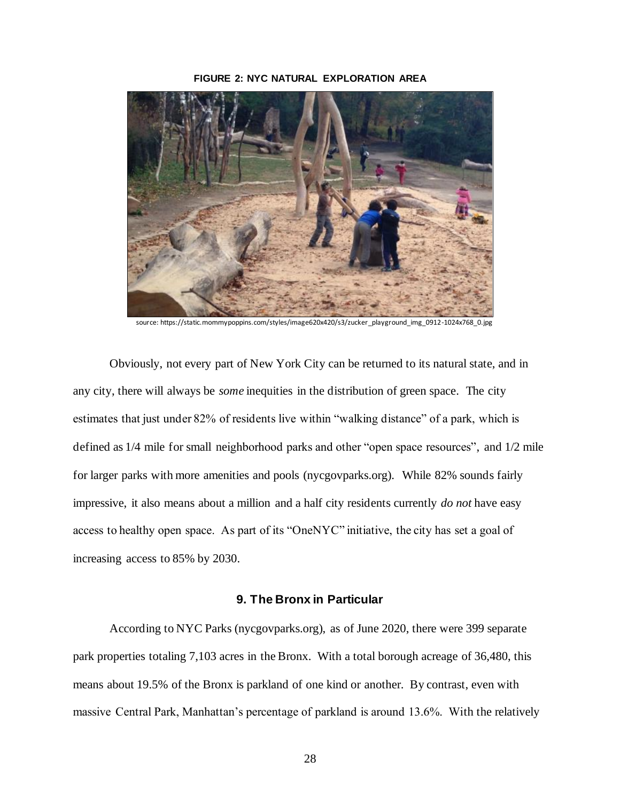#### **FIGURE 2: NYC NATURAL EXPLORATION AREA**



source: https://static.mommypoppins.com/styles/image620x420/s3/zucker\_playground\_img\_0912-1024x768

Obviously, not every part of New York City can be returned to its natural state, and in any city, there will always be *some* inequities in the distribution of green space. The city estimates that just under 82% of residents live within "walking distance" of a park, which is defined as 1/4 mile for small neighborhood parks and other "open space resources", and 1/2 mile for larger parks with more amenities and pools (nycgovparks.org). While 82% sounds fairly impressive, it also means about a million and a half city residents currently *do not* have easy access to healthy open space. As part of its "OneNYC" initiative, the city has set a goal of increasing access to 85% by 2030.

#### **9. The Bronx in Particular**

According to NYC Parks (nycgovparks.org), as of June 2020, there were 399 separate park properties totaling 7,103 acres in the Bronx. With a total borough acreage of 36,480, this means about 19.5% of the Bronx is parkland of one kind or another. By contrast, even with massive Central Park, Manhattan's percentage of parkland is around 13.6%. With the relatively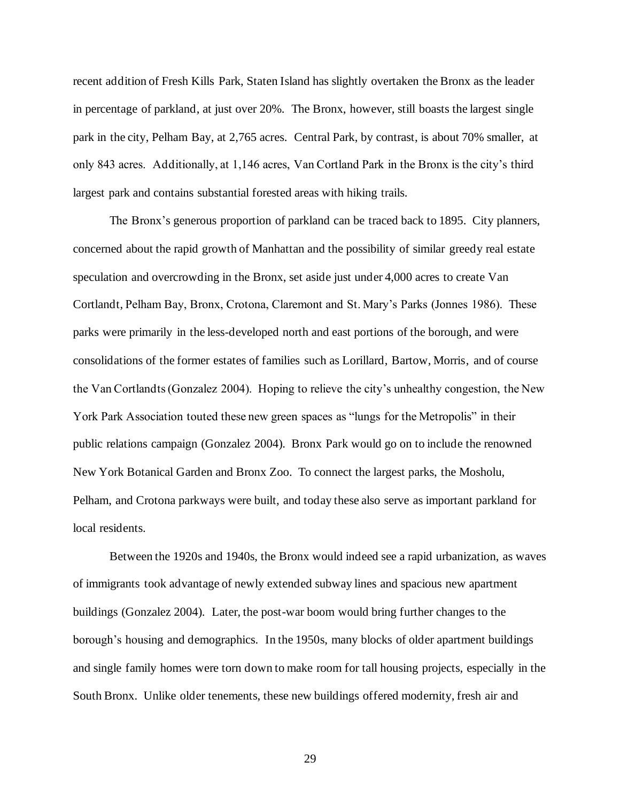recent addition of Fresh Kills Park, Staten Island has slightly overtaken the Bronx as the leader in percentage of parkland, at just over 20%. The Bronx, however, still boasts the largest single park in the city, Pelham Bay, at 2,765 acres. Central Park, by contrast, is about 70% smaller, at only 843 acres. Additionally, at 1,146 acres, Van Cortland Park in the Bronx is the city's third largest park and contains substantial forested areas with hiking trails.

The Bronx's generous proportion of parkland can be traced back to 1895. City planners, concerned about the rapid growth of Manhattan and the possibility of similar greedy real estate speculation and overcrowding in the Bronx, set aside just under 4,000 acres to create Van Cortlandt, Pelham Bay, Bronx, Crotona, Claremont and St. Mary's Parks (Jonnes 1986). These parks were primarily in the less-developed north and east portions of the borough, and were consolidations of the former estates of families such as Lorillard, Bartow, Morris, and of course the Van Cortlandts (Gonzalez 2004). Hoping to relieve the city's unhealthy congestion, the New York Park Association touted these new green spaces as "lungs for the Metropolis" in their public relations campaign (Gonzalez 2004). Bronx Park would go on to include the renowned New York Botanical Garden and Bronx Zoo. To connect the largest parks, the Mosholu, Pelham, and Crotona parkways were built, and today these also serve as important parkland for local residents.

Between the 1920s and 1940s, the Bronx would indeed see a rapid urbanization, as waves of immigrants took advantage of newly extended subway lines and spacious new apartment buildings (Gonzalez 2004). Later, the post-war boom would bring further changes to the borough's housing and demographics. In the 1950s, many blocks of older apartment buildings and single family homes were torn down to make room for tall housing projects, especially in the South Bronx. Unlike older tenements, these new buildings offered modernity, fresh air and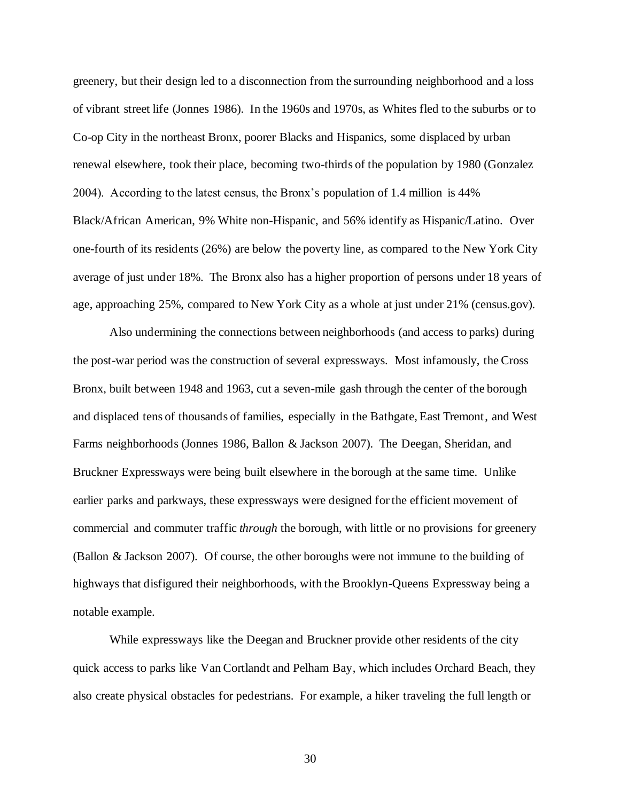greenery, but their design led to a disconnection from the surrounding neighborhood and a loss of vibrant street life (Jonnes 1986). In the 1960s and 1970s, as Whites fled to the suburbs or to Co-op City in the northeast Bronx, poorer Blacks and Hispanics, some displaced by urban renewal elsewhere, took their place, becoming two-thirds of the population by 1980 (Gonzalez 2004). According to the latest census, the Bronx's population of 1.4 million is 44% Black/African American, 9% White non-Hispanic, and 56% identify as Hispanic/Latino. Over one-fourth of its residents (26%) are below the poverty line, as compared to the New York City average of just under 18%. The Bronx also has a higher proportion of persons under 18 years of age, approaching 25%, compared to New York City as a whole at just under 21% (census.gov).

Also undermining the connections between neighborhoods (and access to parks) during the post-war period was the construction of several expressways. Most infamously, the Cross Bronx, built between 1948 and 1963, cut a seven-mile gash through the center of the borough and displaced tens of thousands of families, especially in the Bathgate, East Tremont, and West Farms neighborhoods (Jonnes 1986, Ballon & Jackson 2007). The Deegan, Sheridan, and Bruckner Expressways were being built elsewhere in the borough at the same time. Unlike earlier parks and parkways, these expressways were designed for the efficient movement of commercial and commuter traffic *through* the borough, with little or no provisions for greenery (Ballon & Jackson 2007). Of course, the other boroughs were not immune to the building of highways that disfigured their neighborhoods, with the Brooklyn-Queens Expressway being a notable example.

While expressways like the Deegan and Bruckner provide other residents of the city quick access to parks like Van Cortlandt and Pelham Bay, which includes Orchard Beach, they also create physical obstacles for pedestrians. For example, a hiker traveling the full length or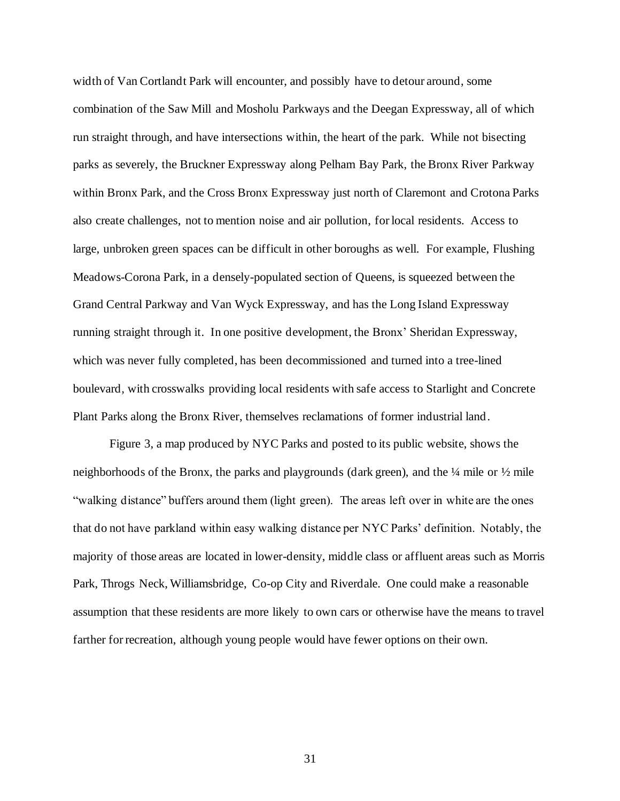width of Van Cortlandt Park will encounter, and possibly have to detour around, some combination of the Saw Mill and Mosholu Parkways and the Deegan Expressway, all of which run straight through, and have intersections within, the heart of the park. While not bisecting parks as severely, the Bruckner Expressway along Pelham Bay Park, the Bronx River Parkway within Bronx Park, and the Cross Bronx Expressway just north of Claremont and Crotona Parks also create challenges, not to mention noise and air pollution, for local residents. Access to large, unbroken green spaces can be difficult in other boroughs as well. For example, Flushing Meadows-Corona Park, in a densely-populated section of Queens, is squeezed between the Grand Central Parkway and Van Wyck Expressway, and has the Long Island Expressway running straight through it. In one positive development, the Bronx' Sheridan Expressway, which was never fully completed, has been decommissioned and turned into a tree-lined boulevard, with crosswalks providing local residents with safe access to Starlight and Concrete Plant Parks along the Bronx River, themselves reclamations of former industrial land.

Figure 3, a map produced by NYC Parks and posted to its public website, shows the neighborhoods of the Bronx, the parks and playgrounds (dark green), and the ¼ mile or ½ mile "walking distance" buffers around them (light green). The areas left over in white are the ones that do not have parkland within easy walking distance per NYC Parks' definition. Notably, the majority of those areas are located in lower-density, middle class or affluent areas such as Morris Park, Throgs Neck, Williamsbridge, Co-op City and Riverdale. One could make a reasonable assumption that these residents are more likely to own cars or otherwise have the means to travel farther for recreation, although young people would have fewer options on their own.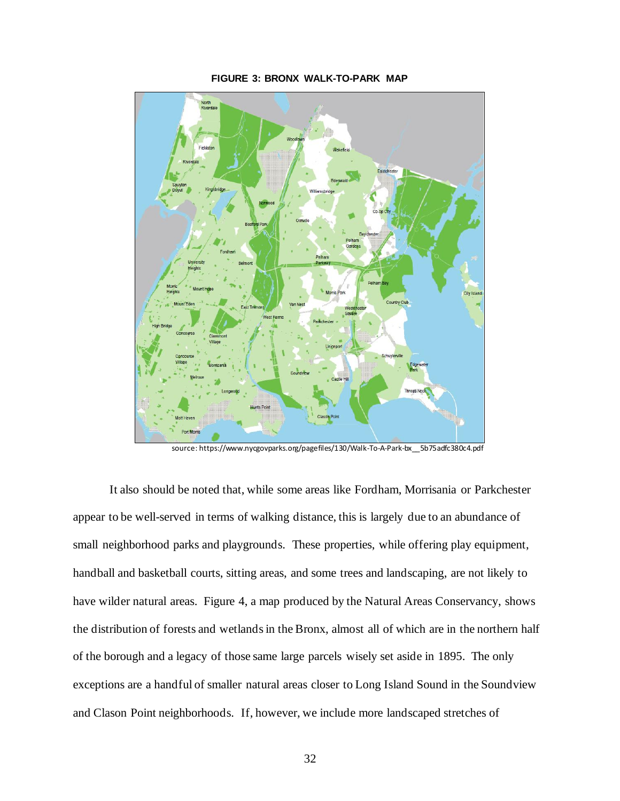

**FIGURE 3: BRONX WALK-TO-PARK MAP**

source: https://www.nycgovparks.org/pagefiles/130/Walk-To-A-Park-bx\_\_5b75adfc380c4.pdf

It also should be noted that, while some areas like Fordham, Morrisania or Parkchester appear to be well-served in terms of walking distance, this is largely due to an abundance of small neighborhood parks and playgrounds. These properties, while offering play equipment, handball and basketball courts, sitting areas, and some trees and landscaping, are not likely to have wilder natural areas. Figure 4, a map produced by the Natural Areas Conservancy, shows the distribution of forests and wetlands in the Bronx, almost all of which are in the northern half of the borough and a legacy of those same large parcels wisely set aside in 1895. The only exceptions are a handful of smaller natural areas closer to Long Island Sound in the Soundview and Clason Point neighborhoods. If, however, we include more landscaped stretches of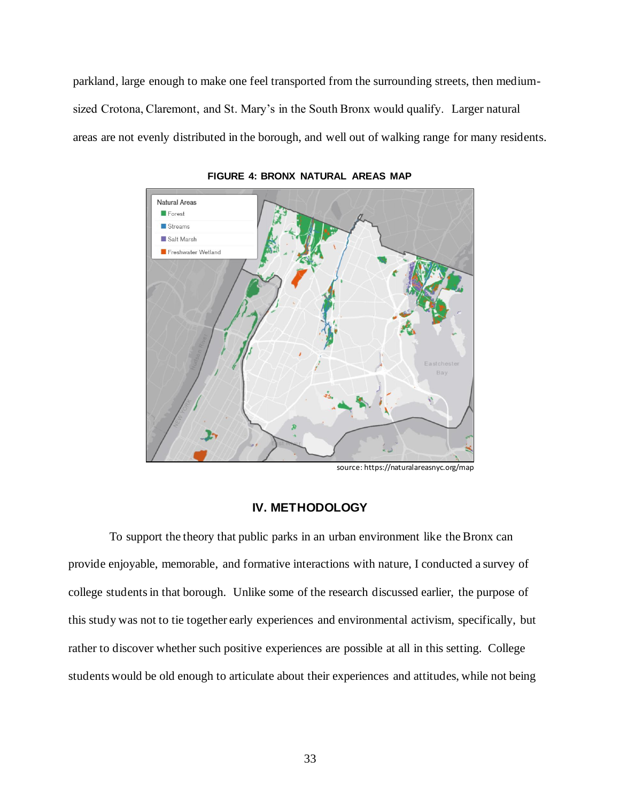parkland, large enough to make one feel transported from the surrounding streets, then mediumsized Crotona, Claremont, and St. Mary's in the South Bronx would qualify. Larger natural areas are not evenly distributed in the borough, and well out of walking range for many residents.



**FIGURE 4: BRONX NATURAL AREAS MAP**

source: https://naturalareasnyc.org/map

### **IV. METHODOLOGY**

To support the theory that public parks in an urban environment like the Bronx can provide enjoyable, memorable, and formative interactions with nature, I conducted a survey of college students in that borough. Unlike some of the research discussed earlier, the purpose of this study was not to tie together early experiences and environmental activism, specifically, but rather to discover whether such positive experiences are possible at all in this setting. College students would be old enough to articulate about their experiences and attitudes, while not being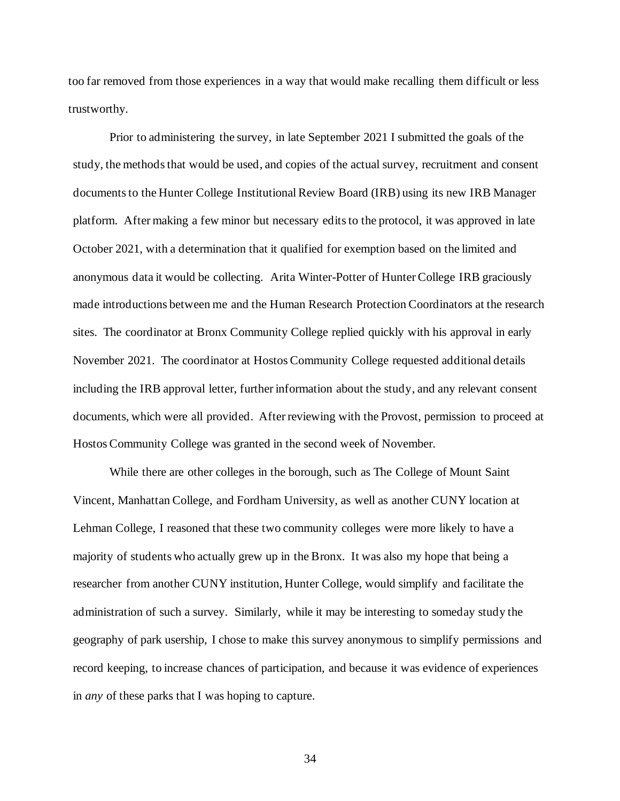too far removed from those experiences in a way that would make recalling them difficult or less trustworthy.

Prior to administering the survey, in late September 2021 I submitted the goals of the study, the methods that would be used, and copies of the actual survey, recruitment and consent documents to the Hunter College Institutional Review Board (IRB) using its new IRB Manager platform. After making a few minor but necessary edits to the protocol, it was approved in late October 2021, with a determination that it qualified for exemption based on the limited and anonymous data it would be collecting. Arita Winter-Potter of Hunter College IRB graciously made introductions between me and the Human Research Protection Coordinators at the research sites. The coordinator at Bronx Community College replied quickly with his approval in early November 2021. The coordinator at Hostos Community College requested additional details including the IRB approval letter, further information about the study, and any relevant consent documents, which were all provided. After reviewing with the Provost, permission to proceed at Hostos Community College was granted in the second week of November.

While there are other colleges in the borough, such as The College of Mount Saint Vincent, Manhattan College, and Fordham University, as well as another CUNY location at Lehman College, I reasoned that these two community colleges were more likely to have a majority of students who actually grew up in the Bronx. It was also my hope that being a researcher from another CUNY institution, Hunter College, would simplify and facilitate the administration of such a survey. Similarly, while it may be interesting to someday study the geography of park usership, I chose to make this survey anonymous to simplify permissions and record keeping, to increase chances of participation, and because it was evidence of experiences in *any* of these parks that I was hoping to capture.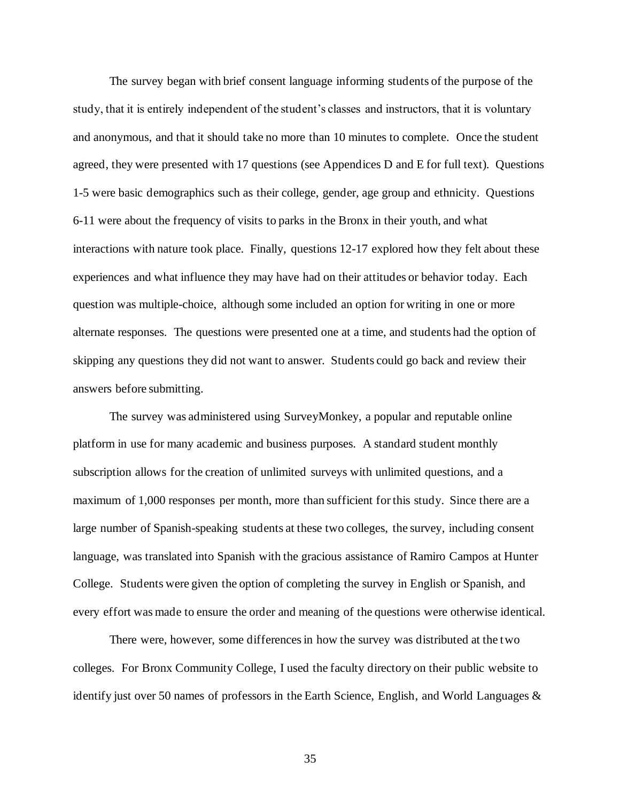The survey began with brief consent language informing students of the purpose of the study, that it is entirely independent of the student's classes and instructors, that it is voluntary and anonymous, and that it should take no more than 10 minutes to complete. Once the student agreed, they were presented with 17 questions (see Appendices D and E for full text). Questions 1-5 were basic demographics such as their college, gender, age group and ethnicity. Questions 6-11 were about the frequency of visits to parks in the Bronx in their youth, and what interactions with nature took place. Finally, questions 12-17 explored how they felt about these experiences and what influence they may have had on their attitudes or behavior today. Each question was multiple-choice, although some included an option for writing in one or more alternate responses. The questions were presented one at a time, and students had the option of skipping any questions they did not want to answer. Students could go back and review their answers before submitting.

The survey was administered using SurveyMonkey, a popular and reputable online platform in use for many academic and business purposes. A standard student monthly subscription allows for the creation of unlimited surveys with unlimited questions, and a maximum of 1,000 responses per month, more than sufficient for this study. Since there are a large number of Spanish-speaking students at these two colleges, the survey, including consent language, was translated into Spanish with the gracious assistance of Ramiro Campos at Hunter College. Students were given the option of completing the survey in English or Spanish, and every effort was made to ensure the order and meaning of the questions were otherwise identical.

There were, however, some differences in how the survey was distributed at the two colleges. For Bronx Community College, I used the faculty directory on their public website to identify just over 50 names of professors in the Earth Science, English, and World Languages  $\&$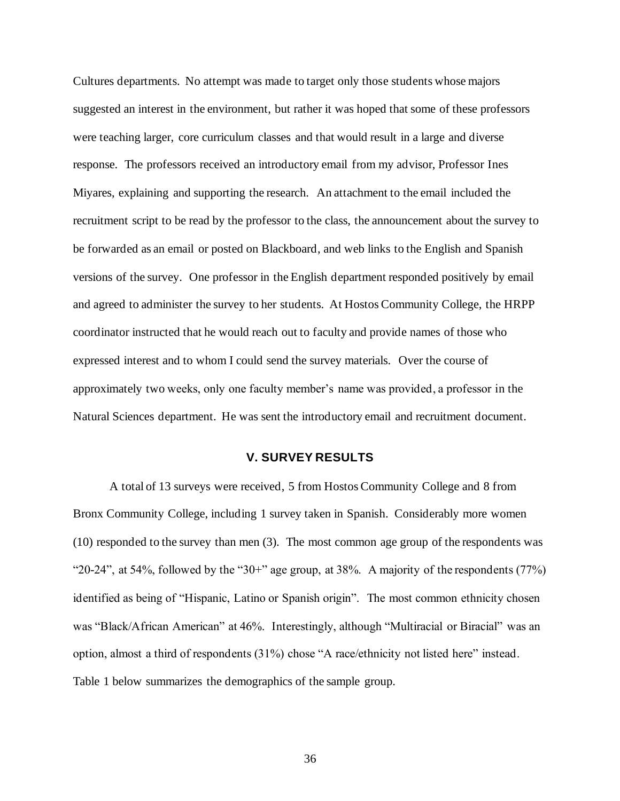Cultures departments. No attempt was made to target only those students whose majors suggested an interest in the environment, but rather it was hoped that some of these professors were teaching larger, core curriculum classes and that would result in a large and diverse response. The professors received an introductory email from my advisor, Professor Ines Miyares, explaining and supporting the research. An attachment to the email included the recruitment script to be read by the professor to the class, the announcement about the survey to be forwarded as an email or posted on Blackboard, and web links to the English and Spanish versions of the survey. One professor in the English department responded positively by email and agreed to administer the survey to her students. At Hostos Community College, the HRPP coordinator instructed that he would reach out to faculty and provide names of those who expressed interest and to whom I could send the survey materials. Over the course of approximately two weeks, only one faculty member's name was provided, a professor in the Natural Sciences department. He was sent the introductory email and recruitment document.

#### **V. SURVEY RESULTS**

A total of 13 surveys were received, 5 from Hostos Community College and 8 from Bronx Community College, including 1 survey taken in Spanish. Considerably more women (10) responded to the survey than men (3). The most common age group of the respondents was "20-24", at 54%, followed by the "30+" age group, at 38%. A majority of the respondents (77%) identified as being of "Hispanic, Latino or Spanish origin". The most common ethnicity chosen was "Black/African American" at 46%. Interestingly, although "Multiracial or Biracial" was an option, almost a third of respondents (31%) chose "A race/ethnicity not listed here" instead. Table 1 below summarizes the demographics of the sample group.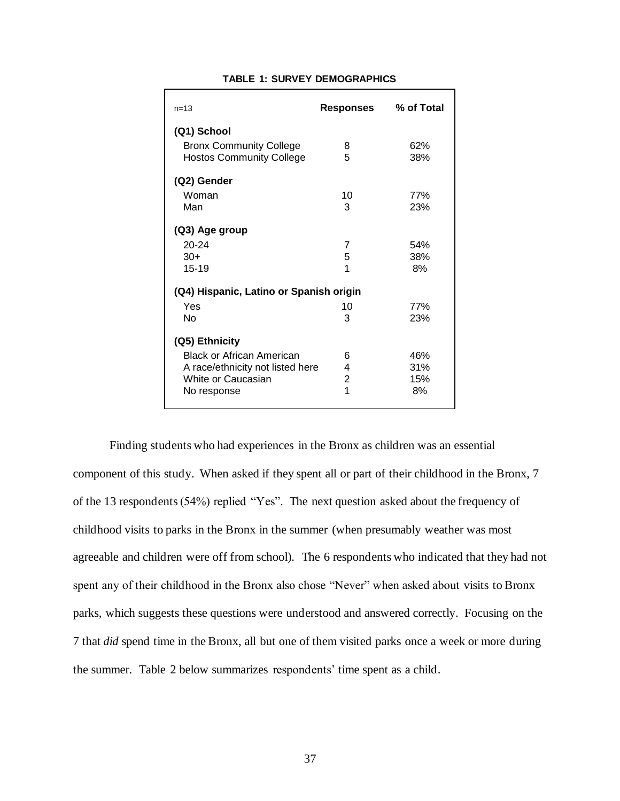| $n = 13$                                                          | Responses      | % of Total |  |
|-------------------------------------------------------------------|----------------|------------|--|
| (Q1) School                                                       |                |            |  |
| <b>Bronx Community College</b><br><b>Hostos Community College</b> | 8<br>5         | 62%<br>38% |  |
| (Q2) Gender                                                       |                |            |  |
| Woman                                                             | 10             | 77%        |  |
| Man                                                               | 3              | 23%        |  |
| (Q3) Age group                                                    |                |            |  |
| $20 - 24$                                                         | 7              | 54%        |  |
| $30+$                                                             | 5              | 38%        |  |
| 15-19                                                             | 1              | 8%         |  |
| (Q4) Hispanic, Latino or Spanish origin                           |                |            |  |
| Yes                                                               | 10             | 77%        |  |
| No                                                                | 3              | 23%        |  |
| (Q5) Ethnicity                                                    |                |            |  |
| <b>Black or African American</b>                                  | 6              | 46%        |  |
| A race/ethnicity not listed here                                  | 4              | 31%        |  |
| White or Caucasian                                                | $\overline{2}$ | 15%        |  |
| No response                                                       | 1              | 8%         |  |

#### **TABLE 1: SURVEY DEMOGRAPHICS**

Finding students who had experiences in the Bronx as children was an essential component of this study. When asked if they spent all or part of their childhood in the Bronx, 7 of the 13 respondents (54%) replied "Yes". The next question asked about the frequency of childhood visits to parks in the Bronx in the summer (when presumably weather was most agreeable and children were off from school). The 6 respondents who indicated that they had not spent any of their childhood in the Bronx also chose "Never" when asked about visits to Bronx parks, which suggests these questions were understood and answered correctly. Focusing on the 7 that *did* spend time in the Bronx, all but one of them visited parks once a week or more during the summer. Table 2 below summarizes respondents' time spent as a child.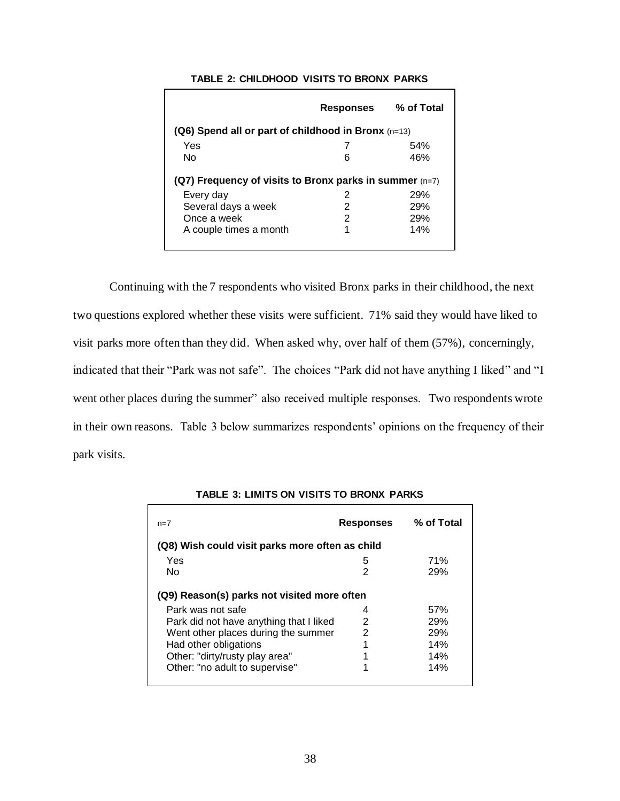|                                                           | <b>Responses</b> | % of Total |  |
|-----------------------------------------------------------|------------------|------------|--|
| $(Q6)$ Spend all or part of childhood in Bronx $(n=13)$   |                  |            |  |
| Yes                                                       |                  | 54%        |  |
| No                                                        | 6                | 46%        |  |
| (Q7) Frequency of visits to Bronx parks in summer $(n=7)$ |                  |            |  |
| Every day                                                 | 2                | 29%        |  |
| Several days a week                                       | 2                | 29%        |  |
| Once a week                                               | 2                | 29%        |  |
| A couple times a month                                    | 1                | 14%        |  |

#### **TABLE 2: CHILDHOOD VISITS TO BRONX PARKS**

Continuing with the 7 respondents who visited Bronx parks in their childhood, the next two questions explored whether these visits were sufficient. 71% said they would have liked to visit parks more often than they did. When asked why, over half of them (57%), concerningly, indicated that their "Park was not safe". The choices "Park did not have anything I liked" and "I went other places during the summer" also received multiple responses. Two respondents wrote in their own reasons. Table 3 below summarizes respondents' opinions on the frequency of their park visits.

| $n=7$                                           | <b>Responses</b> | % of Total |  |
|-------------------------------------------------|------------------|------------|--|
| (Q8) Wish could visit parks more often as child |                  |            |  |
| Yes                                             | 5                | 71%        |  |
| No                                              | 2                | 29%        |  |
| (Q9) Reason(s) parks not visited more often     |                  |            |  |
| Park was not safe                               | 4                | 57%        |  |
| Park did not have anything that I liked         | 2                | 29%        |  |
| Went other places during the summer             | 2                | 29%        |  |
| Had other obligations                           |                  | 14%        |  |
| Other: "dirty/rusty play area"                  |                  | 14%        |  |
| Other: "no adult to supervise"                  |                  | 14%        |  |

**TABLE 3: LIMITS ON VISITS TO BRONX PARKS**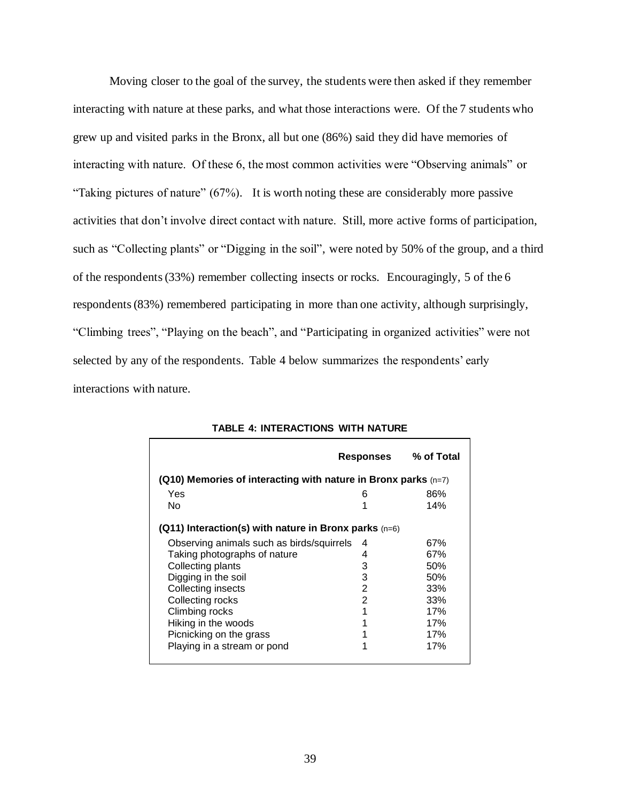Moving closer to the goal of the survey, the students were then asked if they remember interacting with nature at these parks, and what those interactions were. Of the 7 students who grew up and visited parks in the Bronx, all but one (86%) said they did have memories of interacting with nature. Of these 6, the most common activities were "Observing animals" or "Taking pictures of nature" (67%). It is worth noting these are considerably more passive activities that don't involve direct contact with nature. Still, more active forms of participation, such as "Collecting plants" or "Digging in the soil", were noted by 50% of the group, and a third of the respondents (33%) remember collecting insects or rocks. Encouragingly, 5 of the 6 respondents (83%) remembered participating in more than one activity, although surprisingly, "Climbing trees", "Playing on the beach", and "Participating in organized activities" were not selected by any of the respondents. Table 4 below summarizes the respondents' early interactions with nature.

|                                                                  | Responses | % of Total |
|------------------------------------------------------------------|-----------|------------|
| (Q10) Memories of interacting with nature in Bronx parks $(n=7)$ |           |            |
| Yes                                                              | 6         | 86%        |
| No                                                               | 1         | 14%        |
| $(Q11)$ Interaction(s) with nature in Bronx parks $(n=6)$        |           |            |
| Observing animals such as birds/squirrels                        | 4         | 67%        |
| Taking photographs of nature                                     | 4         | 67%        |
| Collecting plants                                                | 3         | 50%        |
| Digging in the soil                                              | 3         | 50%        |
| Collecting insects                                               | 2         | 33%        |
| Collecting rocks                                                 | 2         | 33%        |
| Climbing rocks                                                   | 1         | 17%        |
| Hiking in the woods                                              | 1         | 17%        |
| Picnicking on the grass                                          | 1         | 17%        |
| Playing in a stream or pond                                      | 1         | 17%        |

**TABLE 4: INTERACTIONS WITH NATURE**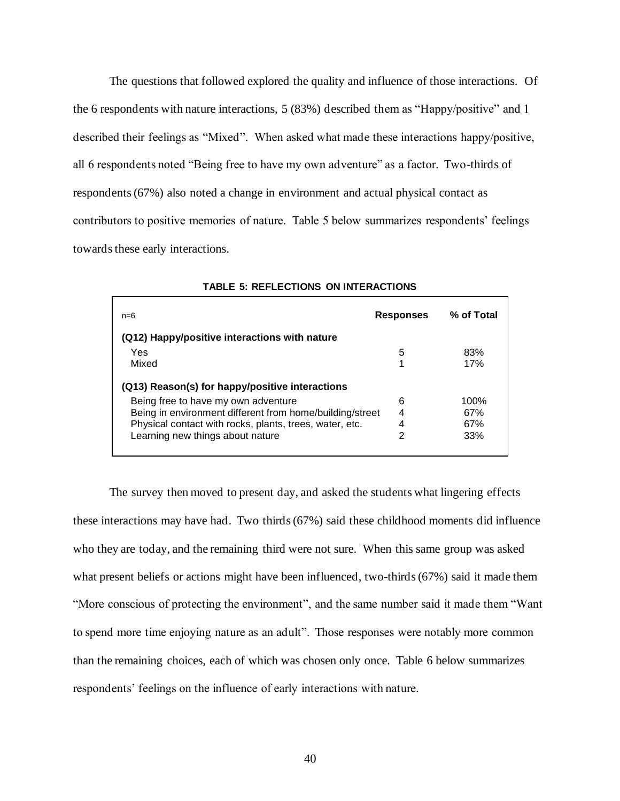The questions that followed explored the quality and influence of those interactions. Of the 6 respondents with nature interactions, 5 (83%) described them as "Happy/positive" and 1 described their feelings as "Mixed". When asked what made these interactions happy/positive, all 6 respondents noted "Being free to have my own adventure" as a factor. Two-thirds of respondents (67%) also noted a change in environment and actual physical contact as contributors to positive memories of nature. Table 5 below summarizes respondents' feelings towards these early interactions.

| $n=6$                                                    | <b>Responses</b> | % of Total |
|----------------------------------------------------------|------------------|------------|
| (Q12) Happy/positive interactions with nature            |                  |            |
| Yes                                                      | 5                | 83%        |
| Mixed                                                    |                  | 17%        |
| (Q13) Reason(s) for happy/positive interactions          |                  |            |
| Being free to have my own adventure                      | 6                | 100%       |
| Being in environment different from home/building/street | 4                | 67%        |
| Physical contact with rocks, plants, trees, water, etc.  | 4                | 67%        |
| Learning new things about nature                         | 2                | 33%        |
|                                                          |                  |            |

**TABLE 5: REFLECTIONS ON INTERACTIONS**

The survey then moved to present day, and asked the students what lingering effects these interactions may have had. Two thirds (67%) said these childhood moments did influence who they are today, and the remaining third were not sure. When this same group was asked what present beliefs or actions might have been influenced, two-thirds (67%) said it made them "More conscious of protecting the environment", and the same number said it made them "Want to spend more time enjoying nature as an adult". Those responses were notably more common than the remaining choices, each of which was chosen only once. Table 6 below summarizes respondents' feelings on the influence of early interactions with nature.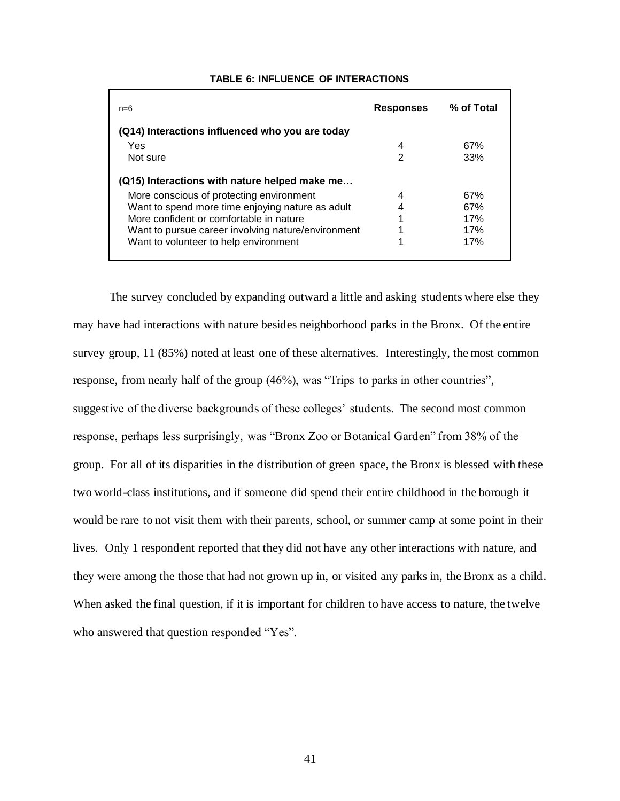| $n=6$                                              | <b>Responses</b> | % of Total |
|----------------------------------------------------|------------------|------------|
| (Q14) Interactions influenced who you are today    |                  |            |
| Yes                                                | 4                | 67%        |
| Not sure                                           | $\overline{2}$   | 33%        |
| (Q15) Interactions with nature helped make me      |                  |            |
| More conscious of protecting environment           | 4                | 67%        |
| Want to spend more time enjoying nature as adult   | 4                | 67%        |
| More confident or comfortable in nature            | 1                | 17%        |
| Want to pursue career involving nature/environment |                  | 17%        |
| Want to volunteer to help environment              | 1                | 17%        |

#### **TABLE 6: INFLUENCE OF INTERACTIONS**

The survey concluded by expanding outward a little and asking students where else they may have had interactions with nature besides neighborhood parks in the Bronx. Of the entire survey group, 11 (85%) noted at least one of these alternatives. Interestingly, the most common response, from nearly half of the group (46%), was "Trips to parks in other countries", suggestive of the diverse backgrounds of these colleges' students. The second most common response, perhaps less surprisingly, was "Bronx Zoo or Botanical Garden" from 38% of the group. For all of its disparities in the distribution of green space, the Bronx is blessed with these two world-class institutions, and if someone did spend their entire childhood in the borough it would be rare to not visit them with their parents, school, or summer camp at some point in their lives. Only 1 respondent reported that they did not have any other interactions with nature, and they were among the those that had not grown up in, or visited any parks in, the Bronx as a child. When asked the final question, if it is important for children to have access to nature, the twelve who answered that question responded "Yes".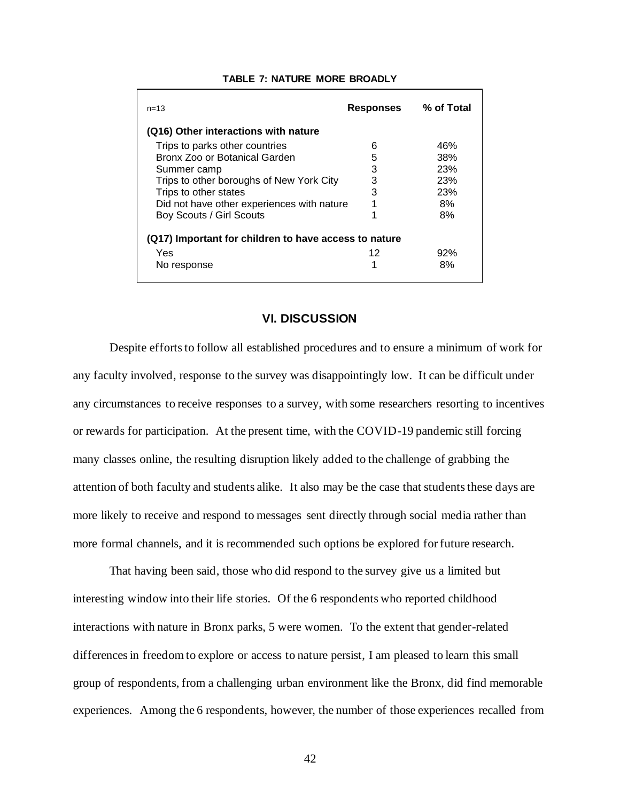| $n = 1.3$                                             | <b>Responses</b> | % of Total |  |
|-------------------------------------------------------|------------------|------------|--|
| (Q16) Other interactions with nature                  |                  |            |  |
| Trips to parks other countries                        | 6                | 46%        |  |
| Bronx Zoo or Botanical Garden                         | 5                | 38%        |  |
| Summer camp                                           | 3                | 23%        |  |
| Trips to other boroughs of New York City              | 3                | 23%        |  |
| Trips to other states                                 | 3                | 23%        |  |
| Did not have other experiences with nature            |                  | 8%         |  |
| Boy Scouts / Girl Scouts                              | 4                | 8%         |  |
| (Q17) Important for children to have access to nature |                  |            |  |
| Yes                                                   | 12               | 92%        |  |
| No response                                           |                  | 8%         |  |

#### **TABLE 7: NATURE MORE BROADLY**

### **VI. DISCUSSION**

Despite efforts to follow all established procedures and to ensure a minimum of work for any faculty involved, response to the survey was disappointingly low. It can be difficult under any circumstances to receive responses to a survey, with some researchers resorting to incentives or rewards for participation. At the present time, with the COVID-19 pandemic still forcing many classes online, the resulting disruption likely added to the challenge of grabbing the attention of both faculty and students alike. It also may be the case that students these days are more likely to receive and respond to messages sent directly through social media rather than more formal channels, and it is recommended such options be explored for future research.

That having been said, those who did respond to the survey give us a limited but interesting window into their life stories. Of the 6 respondents who reported childhood interactions with nature in Bronx parks, 5 were women. To the extent that gender-related differences in freedom to explore or access to nature persist, I am pleased to learn this small group of respondents, from a challenging urban environment like the Bronx, did find memorable experiences. Among the 6 respondents, however, the number of those experiences recalled from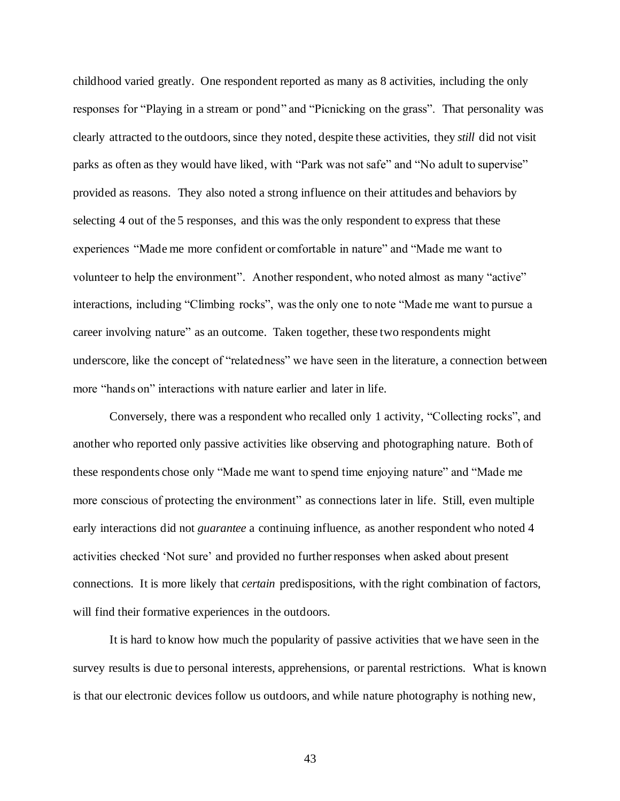childhood varied greatly. One respondent reported as many as 8 activities, including the only responses for "Playing in a stream or pond" and "Picnicking on the grass". That personality was clearly attracted to the outdoors, since they noted, despite these activities, they *still* did not visit parks as often as they would have liked, with "Park was not safe" and "No adult to supervise" provided as reasons. They also noted a strong influence on their attitudes and behaviors by selecting 4 out of the 5 responses, and this was the only respondent to express that these experiences "Made me more confident or comfortable in nature" and "Made me want to volunteer to help the environment". Another respondent, who noted almost as many "active" interactions, including "Climbing rocks", was the only one to note "Made me want to pursue a career involving nature" as an outcome. Taken together, these two respondents might underscore, like the concept of "relatedness" we have seen in the literature, a connection between more "hands on" interactions with nature earlier and later in life.

Conversely, there was a respondent who recalled only 1 activity, "Collecting rocks", and another who reported only passive activities like observing and photographing nature. Both of these respondents chose only "Made me want to spend time enjoying nature" and "Made me more conscious of protecting the environment" as connections later in life. Still, even multiple early interactions did not *guarantee* a continuing influence, as another respondent who noted 4 activities checked 'Not sure' and provided no further responses when asked about present connections. It is more likely that *certain* predispositions, with the right combination of factors, will find their formative experiences in the outdoors.

It is hard to know how much the popularity of passive activities that we have seen in the survey results is due to personal interests, apprehensions, or parental restrictions. What is known is that our electronic devices follow us outdoors, and while nature photography is nothing new,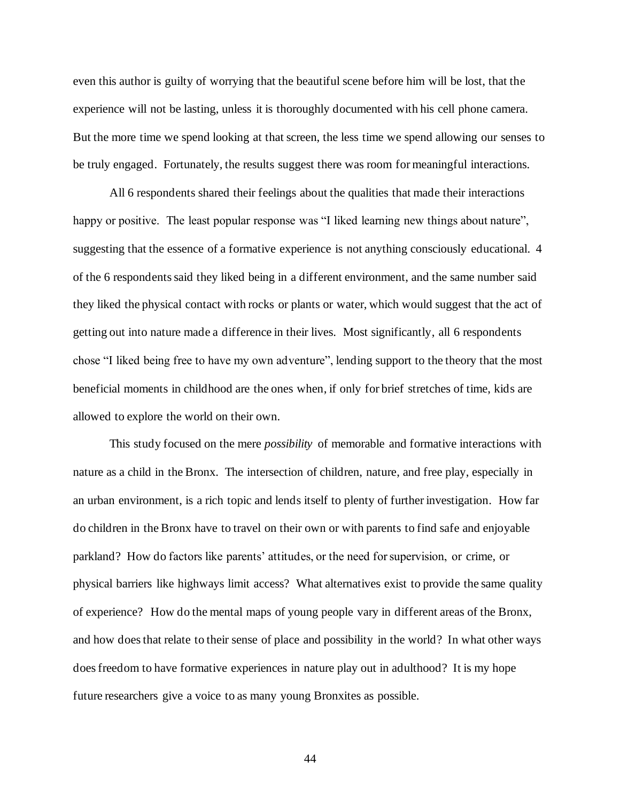even this author is guilty of worrying that the beautiful scene before him will be lost, that the experience will not be lasting, unless it is thoroughly documented with his cell phone camera. But the more time we spend looking at that screen, the less time we spend allowing our senses to be truly engaged. Fortunately, the results suggest there was room for meaningful interactions.

All 6 respondents shared their feelings about the qualities that made their interactions happy or positive. The least popular response was "I liked learning new things about nature", suggesting that the essence of a formative experience is not anything consciously educational. 4 of the 6 respondents said they liked being in a different environment, and the same number said they liked the physical contact with rocks or plants or water, which would suggest that the act of getting out into nature made a difference in their lives. Most significantly, all 6 respondents chose "I liked being free to have my own adventure", lending support to the theory that the most beneficial moments in childhood are the ones when, if only for brief stretches of time, kids are allowed to explore the world on their own.

This study focused on the mere *possibility* of memorable and formative interactions with nature as a child in the Bronx. The intersection of children, nature, and free play, especially in an urban environment, is a rich topic and lends itself to plenty of further investigation. How far do children in the Bronx have to travel on their own or with parents to find safe and enjoyable parkland? How do factors like parents' attitudes, or the need for supervision, or crime, or physical barriers like highways limit access? What alternatives exist to provide the same quality of experience? How do the mental maps of young people vary in different areas of the Bronx, and how does that relate to their sense of place and possibility in the world? In what other ways doesfreedom to have formative experiences in nature play out in adulthood? It is my hope future researchers give a voice to as many young Bronxites as possible.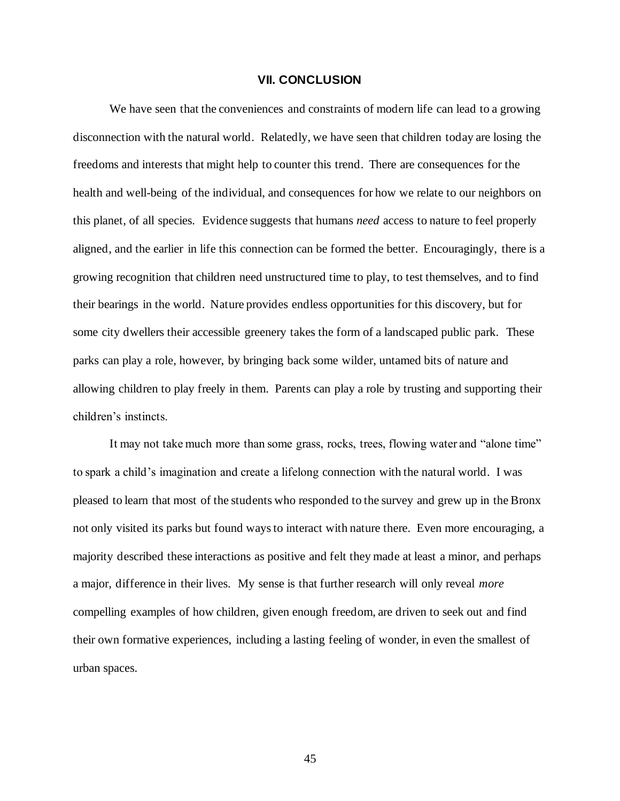#### **VII. CONCLUSION**

We have seen that the conveniences and constraints of modern life can lead to a growing disconnection with the natural world. Relatedly, we have seen that children today are losing the freedoms and interests that might help to counter this trend. There are consequences for the health and well-being of the individual, and consequences for how we relate to our neighbors on this planet, of all species. Evidence suggests that humans *need* access to nature to feel properly aligned, and the earlier in life this connection can be formed the better.Encouragingly, there is a growing recognition that children need unstructured time to play, to test themselves, and to find their bearings in the world. Nature provides endless opportunities for this discovery, but for some city dwellers their accessible greenery takes the form of a landscaped public park. These parks can play a role, however, by bringing back some wilder, untamed bits of nature and allowing children to play freely in them. Parents can play a role by trusting and supporting their children's instincts.

It may not take much more than some grass, rocks, trees, flowing water and "alone time" to spark a child's imagination and create a lifelong connection with the natural world. I was pleased to learn that most of the students who responded to the survey and grew up in the Bronx not only visited its parks but found ways to interact with nature there. Even more encouraging, a majority described these interactions as positive and felt they made at least a minor, and perhaps a major, difference in their lives. My sense is that further research will only reveal *more* compelling examples of how children, given enough freedom, are driven to seek out and find their own formative experiences, including a lasting feeling of wonder, in even the smallest of urban spaces.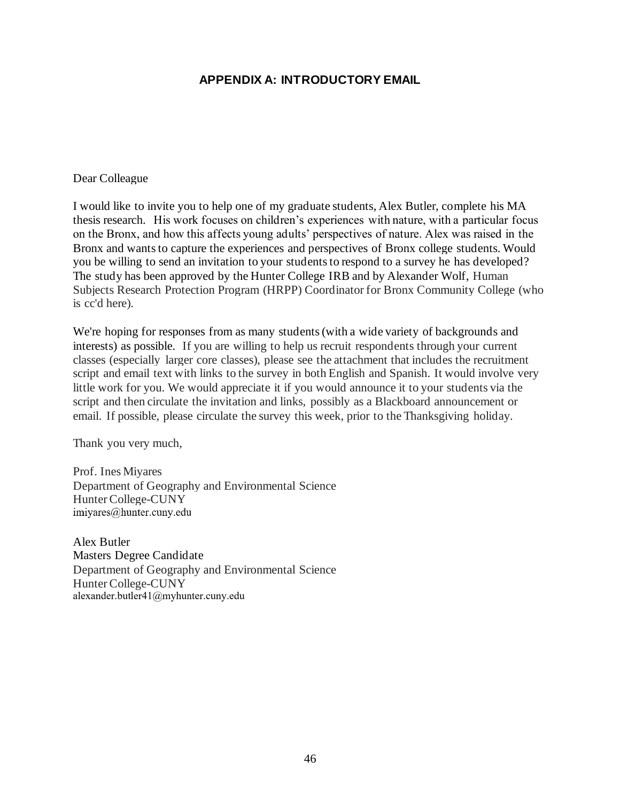## **APPENDIX A: INTRODUCTORY EMAIL**

#### Dear Colleague

I would like to invite you to help one of my graduate students, Alex Butler, complete his MA thesis research. His work focuses on children's experiences with nature, with a particular focus on the Bronx, and how this affects young adults' perspectives of nature. Alex was raised in the Bronx and wants to capture the experiences and perspectives of Bronx college students. Would you be willing to send an invitation to your students to respond to a survey he has developed? The study has been approved by the Hunter College IRB and by Alexander Wolf, Human Subjects Research Protection Program (HRPP) Coordinator for Bronx Community College (who is cc'd here).

We're hoping for responses from as many students (with a wide variety of backgrounds and interests) as possible. If you are willing to help us recruit respondents through your current classes (especially larger core classes), please see the attachment that includes the recruitment script and email text with links to the survey in both English and Spanish. It would involve very little work for you. We would appreciate it if you would announce it to your students via the script and then circulate the invitation and links, possibly as a Blackboard announcement or email. If possible, please circulate the survey this week, prior to the Thanksgiving holiday.

Thank you very much,

Prof. Ines Miyares Department of Geography and Environmental Science Hunter College-CUNY<br>imiyares@hunter.cuny.edu

Alex Butler Masters Degree Candidate Department of Geography and Environmental Science Hunter College-CUNY<br>alexander.butler41@myhunter.cuny.edu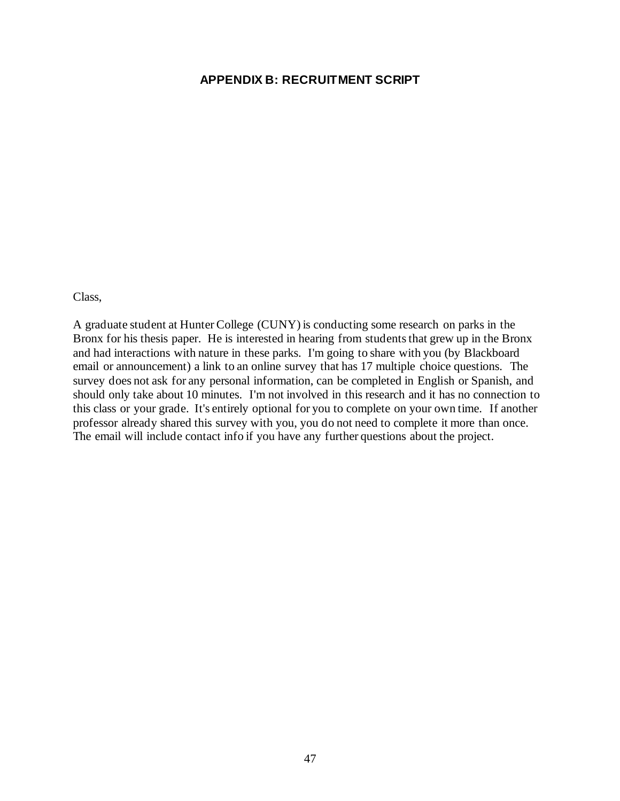### **APPENDIX B: RECRUITMENT SCRIPT**

Class,

A graduate student at Hunter College (CUNY) is conducting some research on parks in the Bronx for his thesis paper. He is interested in hearing from students that grew up in the Bronx and had interactions with nature in these parks. I'm going to share with you (by Blackboard email or announcement) a link to an online survey that has 17 multiple choice questions. The survey does not ask for any personal information, can be completed in English or Spanish, and should only take about 10 minutes. I'm not involved in this research and it has no connection to this class or your grade. It's entirely optional for you to complete on your own time. If another professor already shared this survey with you, you do not need to complete it more than once. The email will include contact info if you have any further questions about the project.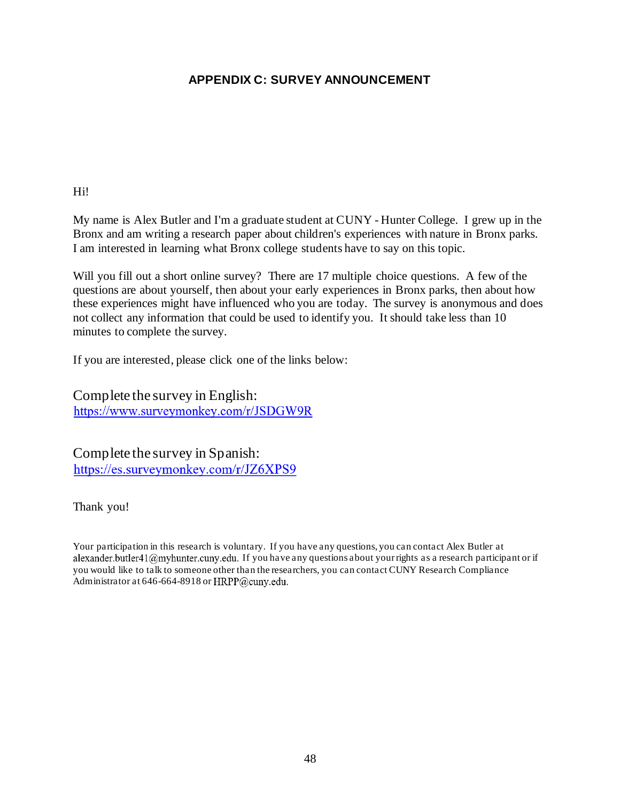## **APPENDIX C: SURVEY ANNOUNCEMENT**

Hi!

My name is Alex Butler and I'm a graduate student at CUNY - Hunter College. I grew up in the Bronx and am writing a research paper about children's experiences with nature in Bronx parks. I am interested in learning what Bronx college students have to say on this topic.

Will you fill out a short online survey? There are 17 multiple choice questions. A few of the questions are about yourself, then about your early experiences in Bronx parks, then about how these experiences might have influenced who you are today. The survey is anonymous and does not collect any information that could be used to identify you. It should take less than 10 minutes to complete the survey.

If you are interested, please click one of the links below:

Complete the survey in English: https://www.surveymonkey.com/r/JSDGW9R

Complete the survey in Spanish: https://es.surveymonkey.com/r/JZ6XPS9

Thank you!

Your participation in this research is voluntary. If you have any questions, you can contact Alex Butler at alexander.butler41@myhunter.cuny.edu. If you have any questions about your rights as a research participant or if you would like to talk to someone other than the researchers, you can contact CUNY Research Compliance Administrator at 646-664-8918 or HRPP@cuny.edu.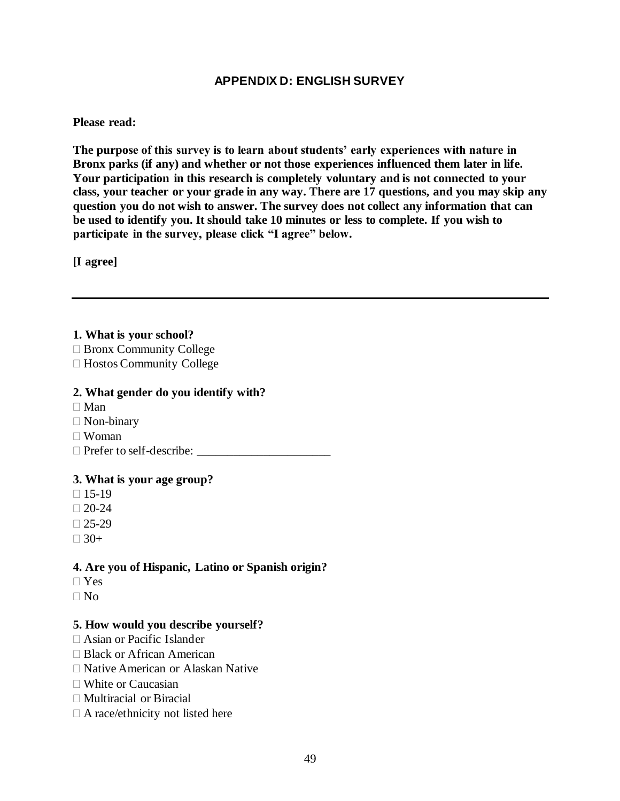## **APPENDIX D: ENGLISH SURVEY**

#### **Please read:**

**The purpose of this survey is to learn about students' early experiences with nature in Bronx parks (if any) and whether or not those experiences influenced them later in life. Your participation in this research is completely voluntary and is not connected to your class, your teacher or your grade in any way. There are 17 questions, and you may skip any question you do not wish to answer. The survey does not collect any information that can be used to identify you. It should take 10 minutes or less to complete. If you wish to participate in the survey, please click "I agree" below.**

**[I agree]**

### **1. What is your school?**

- □ Bronx Community College
- □ Hostos Community College

#### **2. What gender do you identify with?**

- $\Box$  Man
- □ Non-binary
- Woman
- $\Box$  Prefer to self-describe:  $\Box$

#### **3. What is your age group?**

- $\Box$  15-19
- $\Box 20-24$
- $\Box$  25-29
- $\Box$  30+

### **4. Are you of Hispanic, Latino or Spanish origin?**

- Yes
- $\Box$  No

### **5. How would you describe yourself?**

- Asian or Pacific Islander
- □ Black or African American
- Native American or Alaskan Native
- White or Caucasian
- □ Multiracial or Biracial
- $\Box$  A race/ethnicity not listed here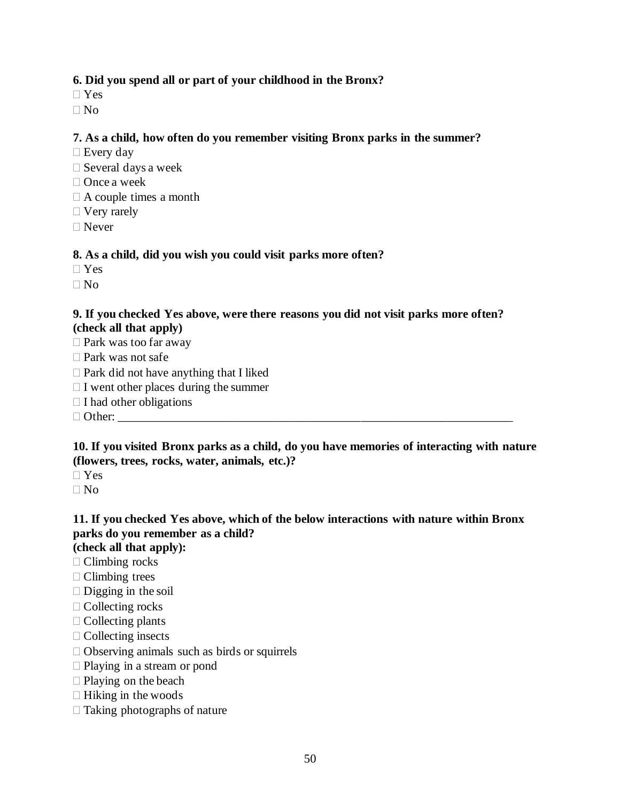## **6. Did you spend all or part of your childhood in the Bronx?**

- Yes
- $\n **No**\n$

### **7. As a child, how often do you remember visiting Bronx parks in the summer?**

- $\Box$  Every day
- $\square$  Several days a week
- □ Once a week
- $\Box$  A couple times a month
- □ Very rarely
- Never

### **8. As a child, did you wish you could visit parks more often?**

- $\Box$  Yes
- $\Box$  No

### **9. If you checked Yes above, were there reasons you did not visit parks more often? (check all that apply)**

- $\square$  Park was too far away
- $\Box$  Park was not safe
- $\Box$  Park did not have anything that I liked
- $\Box$  I went other places during the summer
- $\Box$  I had other obligations
- $\Box$  Other:

### **10. If you visited Bronx parks as a child, do you have memories of interacting with nature (flowers, trees, rocks, water, animals, etc.)?**

 $\neg$  Yes

 $\Box$  No

## **11. If you checked Yes above, which of the below interactions with nature within Bronx parks do you remember as a child?**

**(check all that apply):** 

- □ Climbing rocks
- $\Box$  Climbing trees
- $\Box$  Digging in the soil
- $\Box$  Collecting rocks
- $\Box$  Collecting plants
- $\Box$  Collecting insects
- $\Box$  Observing animals such as birds or squirrels
- □ Playing in a stream or pond
- $\Box$  Playing on the beach
- $\Box$  Hiking in the woods
- $\Box$  Taking photographs of nature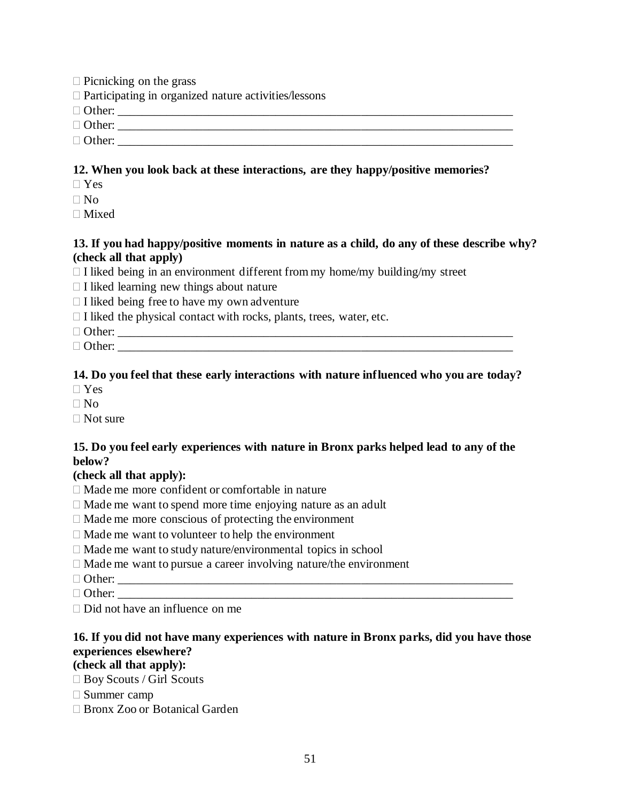- $\Box$  Picnicking on the grass
- $\Box$  Participating in organized nature activities/lessons

Other: \_\_\_\_\_\_\_\_\_\_\_\_\_\_\_\_\_\_\_\_\_\_\_\_\_\_\_\_\_\_\_\_\_\_\_\_\_\_\_\_\_\_\_\_\_\_\_\_\_\_\_\_\_\_\_\_\_\_\_\_\_\_\_\_\_

Other: \_\_\_\_\_\_\_\_\_\_\_\_\_\_\_\_\_\_\_\_\_\_\_\_\_\_\_\_\_\_\_\_\_\_\_\_\_\_\_\_\_\_\_\_\_\_\_\_\_\_\_\_\_\_\_\_\_\_\_\_\_\_\_\_\_

Other: \_\_\_\_\_\_\_\_\_\_\_\_\_\_\_\_\_\_\_\_\_\_\_\_\_\_\_\_\_\_\_\_\_\_\_\_\_\_\_\_\_\_\_\_\_\_\_\_\_\_\_\_\_\_\_\_\_\_\_\_\_\_\_\_\_

### **12. When you look back at these interactions, are they happy/positive memories?**

Yes

 $\Box$  No

Mixed

### **13. If you had happy/positive moments in nature as a child, do any of these describe why? (check all that apply)**

- $\Box$  I liked being in an environment different from my home/my building/my street
- $\Box$  I liked learning new things about nature
- $\Box$  I liked being free to have my own adventure
- $\Box$  I liked the physical contact with rocks, plants, trees, water, etc.
- Other: \_\_\_\_\_\_\_\_\_\_\_\_\_\_\_\_\_\_\_\_\_\_\_\_\_\_\_\_\_\_\_\_\_\_\_\_\_\_\_\_\_\_\_\_\_\_\_\_\_\_\_\_\_\_\_\_\_\_\_\_\_\_\_\_\_
- $\Box$  Other:

### **14. Do you feel that these early interactions with nature influenced who you are today?**

 $\Box$  Yes

- $\n **N**$
- $\Box$  Not sure

## **15. Do you feel early experiences with nature in Bronx parks helped lead to any of the below?**

### **(check all that apply):**

- Made me more confident or comfortable in nature
- $\Box$  Made me want to spend more time enjoying nature as an adult
- $\Box$  Made me more conscious of protecting the environment
- $\Box$  Made me want to volunteer to help the environment
- $\Box$  Made me want to study nature/environmental topics in school
- $\Box$  Made me want to pursue a career involving nature/the environment
- Other: \_\_\_\_\_\_\_\_\_\_\_\_\_\_\_\_\_\_\_\_\_\_\_\_\_\_\_\_\_\_\_\_\_\_\_\_\_\_\_\_\_\_\_\_\_\_\_\_\_\_\_\_\_\_\_\_\_\_\_\_\_\_\_\_\_
- Other: \_\_\_\_\_\_\_\_\_\_\_\_\_\_\_\_\_\_\_\_\_\_\_\_\_\_\_\_\_\_\_\_\_\_\_\_\_\_\_\_\_\_\_\_\_\_\_\_\_\_\_\_\_\_\_\_\_\_\_\_\_\_\_\_\_
- $\Box$  Did not have an influence on me

## **16. If you did not have many experiences with nature in Bronx parks, did you have those experiences elsewhere?**

## **(check all that apply):**

- □ Boy Scouts / Girl Scouts
- Summer camp
- Bronx Zoo or Botanical Garden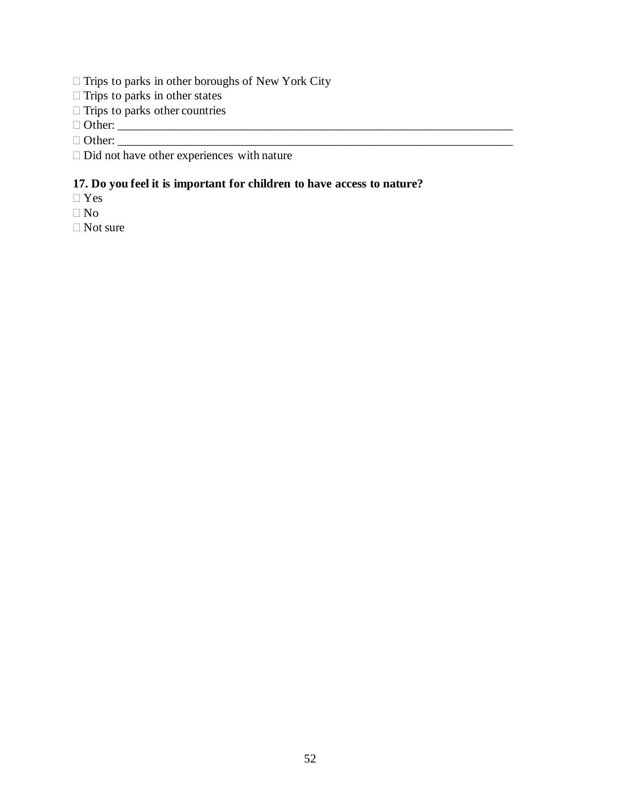- $\Box$  Trips to parks in other boroughs of New York City
- $\Box$  Trips to parks in other states
- $\Box$  Trips to parks other countries

 $\Box$  Other:  $\frac{1}{\Box}$ 

Other: \_\_\_\_\_\_\_\_\_\_\_\_\_\_\_\_\_\_\_\_\_\_\_\_\_\_\_\_\_\_\_\_\_\_\_\_\_\_\_\_\_\_\_\_\_\_\_\_\_\_\_\_\_\_\_\_\_\_\_\_\_\_\_\_\_

 $\square$  Did not have other experiences with nature

## **17. Do you feel it is important for children to have access to nature?**

Yes

 $\Box$  No

□ Not sure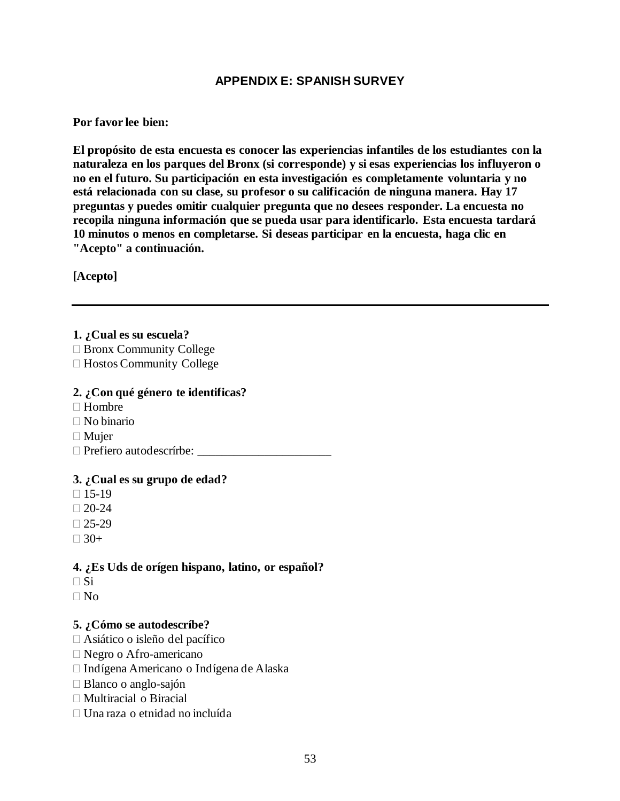## **APPENDIX E: SPANISH SURVEY**

### **Por favor lee bien:**

**El propósito de esta encuesta es conocer las experiencias infantiles de los estudiantes con la naturaleza en los parques del Bronx (si corresponde) y si esas experiencias los influyeron o no en el futuro. Su participación en esta investigación es completamente voluntaria y no está relacionada con su clase, su profesor o su calificación de ninguna manera. Hay 17 preguntas y puedes omitir cualquier pregunta que no desees responder. La encuesta no recopila ninguna información que se pueda usar para identificarlo. Esta encuesta tardará 10 minutos o menos en completarse. Si deseas participar en la encuesta, haga clic en "Acepto" a continuación.**

**[Acepto]**

### **1. ¿Cual es su escuela?**

- □ Bronx Community College
- □ Hostos Community College

### **2. ¿Con qué género te identificas?**

- $\Box$  Hombre
- No binario
- □ Mujer
- Prefiero autodescrírbe: \_\_\_\_\_\_\_\_\_\_\_\_\_\_\_\_\_\_\_\_\_\_

### **3. ¿Cual es su grupo de edad?**

- $\Box$  15-19
- $\Box 20-24$
- $\Box$  25-29
- $\Box$  30+

### **4. ¿Es Uds de orígen hispano, latino, or español?**

- $\square$  Si
- $\Box$  No

### **5. ¿Cómo se autodescríbe?**

- Asiático o isleño del pacífico
- Negro o Afro-americano
- Indígena Americano o Indígena de Alaska
- Blanco o anglo-sajón
- Multiracial o Biracial
- Una raza o etnidad no incluída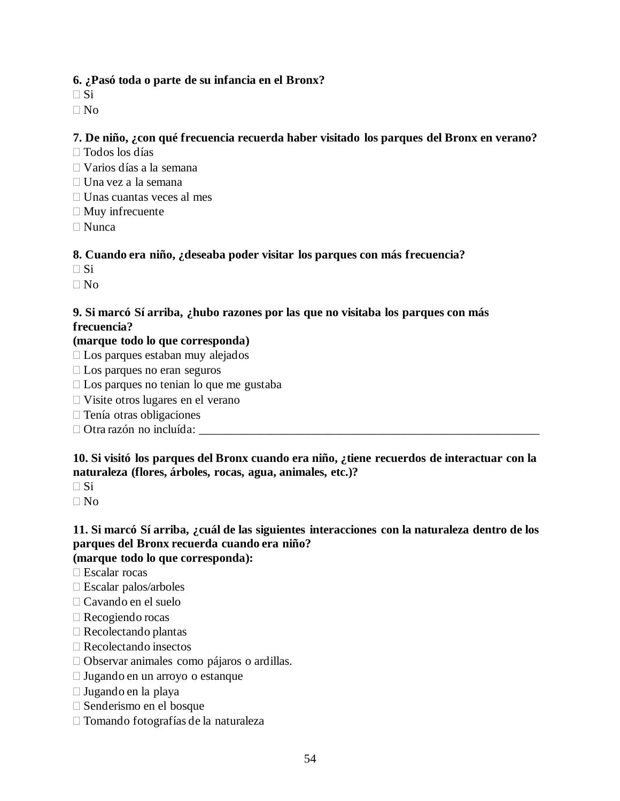## **6. ¿Pasó toda o parte de su infancia en el Bronx?**

 $\square$  Si

 $\Box$  No

## **7. De niño, ¿con qué frecuencia recuerda haber visitado los parques del Bronx en verano?**

- Todos los días
- Varios días a la semana
- $\Box$  Una vez a la semana
- $\Box$  Unas cuantas veces al mes
- $\Box$  Muy infrecuente
- $\Box$  Nunca

## **8. Cuando era niño, ¿deseaba poder visitar los parques con más frecuencia?**

- $\Box$  Si
- $\Box$  No

## **9. Si marcó Sí arriba, ¿hubo razones por las que no visitaba los parques con más frecuencia?**

## **(marque todo lo que corresponda)**

- Los parques estaban muy alejados
- $\Box$  Los parques no eran seguros
- $\Box$  Los parques no tenian lo que me gustaba
- Visite otros lugares en el verano
- $\Box$  Tenía otras obligaciones
- $\Box$  Otra razón no incluída:

## **10. Si visitó los parques del Bronx cuando era niño, ¿tiene recuerdos de interactuar con la naturaleza (flores, árboles, rocas, agua, animales, etc.)?**

 $\Box$  Si

No

# **11. Si marcó Sí arriba, ¿cuál de las siguientes interacciones con la naturaleza dentro de los parques del Bronx recuerda cuando era niño?**

# **(marque todo lo que corresponda):**

- Escalar rocas
- $\square$  Escalar palos/arboles
- Cavando en el suelo
- Recogiendo rocas
- Recolectando plantas
- □ Recolectando insectos
- Observar animales como pájaros o ardillas.
- Jugando en un arroyo o estanque
- Jugando en la playa
- Senderismo en el bosque
- Tomando fotografías de la naturaleza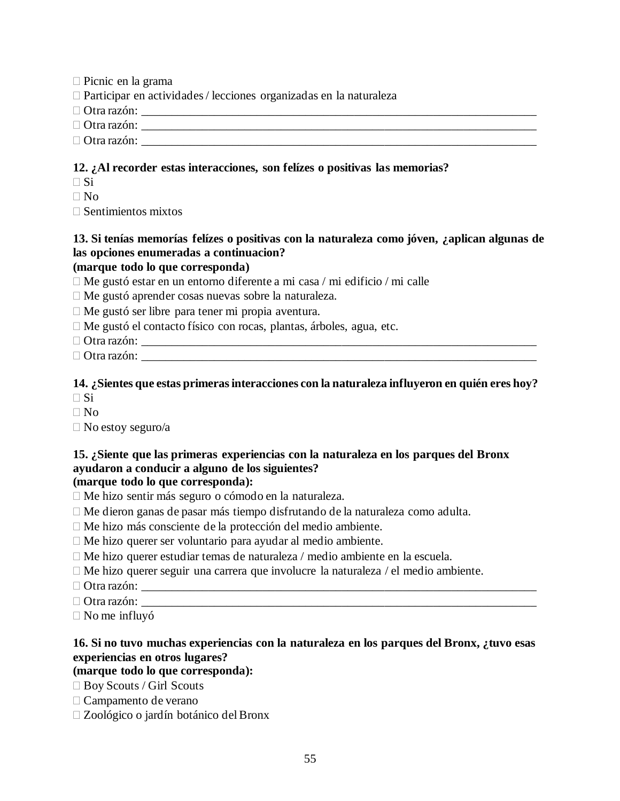- $\Box$  Picnic en la grama
- Participar en actividades / lecciones organizadas en la naturaleza
- Otra razón: \_\_\_\_\_\_\_\_\_\_\_\_\_\_\_\_\_\_\_\_\_\_\_\_\_\_\_\_\_\_\_\_\_\_\_\_\_\_\_\_\_\_\_\_\_\_\_\_\_\_\_\_\_\_\_\_\_\_\_\_\_\_\_\_\_
- Otra razón: \_\_\_\_\_\_\_\_\_\_\_\_\_\_\_\_\_\_\_\_\_\_\_\_\_\_\_\_\_\_\_\_\_\_\_\_\_\_\_\_\_\_\_\_\_\_\_\_\_\_\_\_\_\_\_\_\_\_\_\_\_\_\_\_\_
- $\Box$  Otra razón:

### **12. ¿Al recorder estas interacciones, son felízes o positivas las memorias?**

- $\Box$  Si
- $\Box$  No
- $\square$  Sentimientos mixtos

## **13. Si tenías memorías felízes o positivas con la naturaleza como jóven, ¿aplican algunas de las opciones enumeradas a continuacion?**

### **(marque todo lo que corresponda)**

- $\Box$  Me gustó estar en un entorno diferente a mi casa / mi edificio / mi calle
- Me gustó aprender cosas nuevas sobre la naturaleza.
- $\Box$  Me gustó ser libre para tener mi propia aventura.
- Me gustó el contacto físico con rocas, plantas, árboles, agua, etc.

 $\Box$  Otra razón:

 $\Box$  Otra razón:

### **14. ¿Sientes que estas primeras interacciones con la naturaleza influyeron en quién eres hoy?**  $\Box$  Si

- $\Box$  No
- $\square$  No estoy seguro/a

## **15. ¿Siente que las primeras experiencias con la naturaleza en los parques del Bronx ayudaron a conducir a alguno de los siguientes?**

## **(marque todo lo que corresponda):**

- Me hizo sentir más seguro o cómodo en la naturaleza.
- Me dieron ganas de pasar más tiempo disfrutando de la naturaleza como adulta.
- Me hizo más consciente de la protección del medio ambiente.
- $\Box$  Me hizo querer ser voluntario para ayudar al medio ambiente.
- Me hizo querer estudiar temas de naturaleza / medio ambiente en la escuela.
- $\Box$  Me hizo querer seguir una carrera que involucre la naturaleza / el medio ambiente.
- $\Box$  Otra razón:
- $\Box$  Otra razón:
- No me influyó

## **16. Si no tuvo muchas experiencias con la naturaleza en los parques del Bronx, ¿tuvo esas experiencias en otros lugares?**

#### **(marque todo lo que corresponda):**

- □ Boy Scouts / Girl Scouts
- Campamento de verano
- Zoológico o jardín botánico del Bronx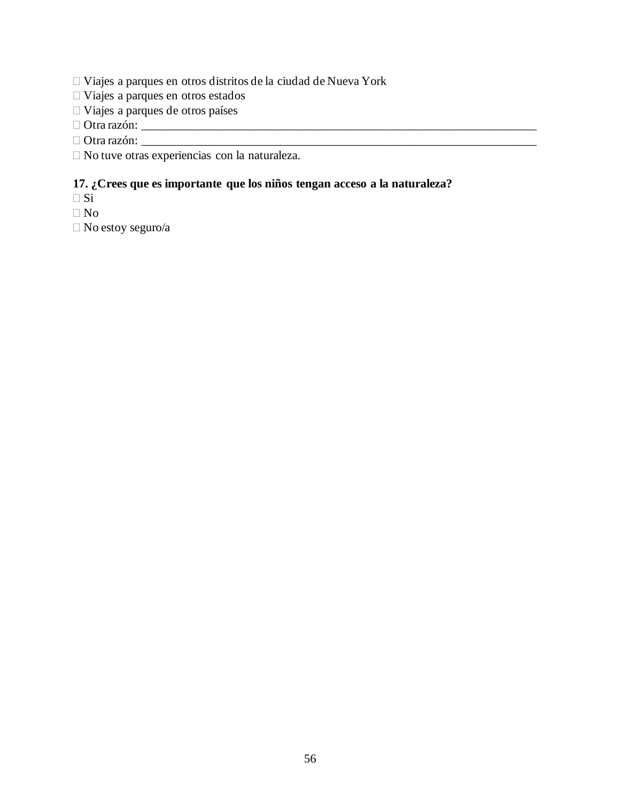- Viajes a parques en otros distritos de la ciudad de Nueva York
- Viajes a parques en otros estados
- Viajes a parques de otros países

 $\Box$  Otra razón:  $\frac{1}{\Box}$ 

Otra razón: \_\_\_\_\_\_\_\_\_\_\_\_\_\_\_\_\_\_\_\_\_\_\_\_\_\_\_\_\_\_\_\_\_\_\_\_\_\_\_\_\_\_\_\_\_\_\_\_\_\_\_\_\_\_\_\_\_\_\_\_\_\_\_\_\_

No tuve otras experiencias con la naturaleza.

## **17. ¿Crees que es importante que los niños tengan acceso a la naturaleza?**

- $\Box$  Si
- $\Box$  No

No estoy seguro/a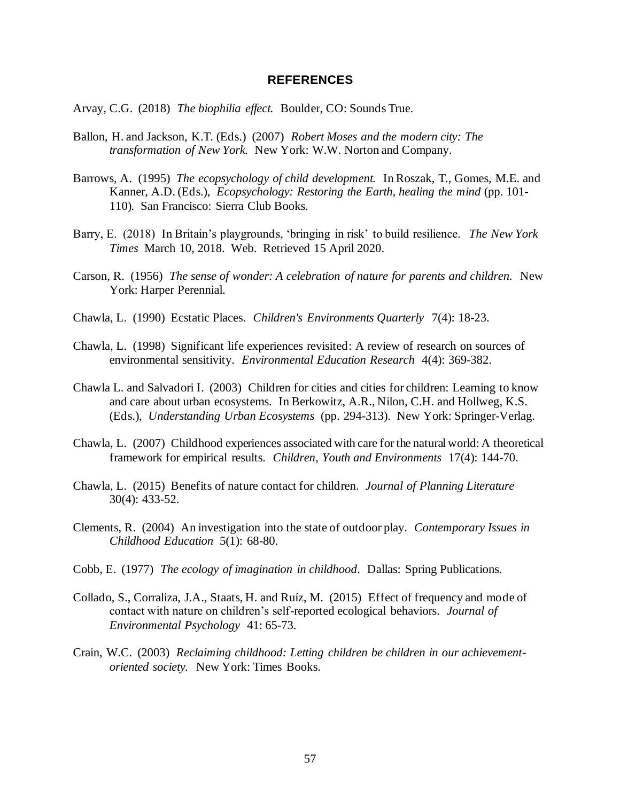#### **REFERENCES**

Arvay, C.G. (2018) *The biophilia effect.* Boulder, CO: Sounds True.

- Ballon, H. and Jackson, K.T. (Eds.) (2007) *Robert Moses and the modern city: The transformation of New York.* New York: W.W. Norton and Company.
- Barrows, A. (1995) *The ecopsychology of child development.* In Roszak, T., Gomes, M.E. and Kanner, A.D. (Eds.), *Ecopsychology: Restoring the Earth, healing the mind* (pp. 101-110)*.* San Francisco: Sierra Club Books.
- Barry, E. (2018) In Britain's playgrounds, 'bringing in risk' to build resilience. *The New York Times* March 10, 2018. Web. Retrieved 15 April 2020.
- Carson, R. (1956) *The sense of wonder: A celebration of nature for parents and children.* New York: Harper Perennial.
- Chawla, L. (1990) Ecstatic Places. *Children's Environments Quarterly* 7(4): 18-23.
- Chawla, L. (1998) Significant life experiences revisited: A review of research on sources of environmental sensitivity. *Environmental Education Research* 4(4): 369-382.
- Chawla L. and Salvadori I. (2003) Children for cities and cities for children: Learning to know and care about urban ecosystems. In Berkowitz, A.R., Nilon, C.H. and Hollweg, K.S. (Eds.), *Understanding Urban Ecosystems* (pp. 294-313). New York: Springer-Verlag.
- Chawla, L. (2007) Childhood experiences associated with care for the natural world: A theoretical framework for empirical results. *Children, Youth and Environments* 17(4): 144-70.
- Chawla, L. (2015) Benefits of nature contact for children. *Journal of Planning Literature* 30(4): 433-52.
- Clements, R. (2004) An investigation into the state of outdoor play. *Contemporary Issues in Childhood Education* 5(1): 68-80.
- Cobb, E. (1977) *The ecology of imagination in childhood*. Dallas: Spring Publications.
- Collado, S., Corraliza, J.A., Staats, H. and Ruíz, M. (2015) Effect of frequency and mode of contact with nature on children's self-reported ecological behaviors. *Journal of Environmental Psychology* 41: 65-73.
- Crain, W.C. (2003) *Reclaiming childhood: Letting children be children in our achievementoriented society.* New York: Times Books.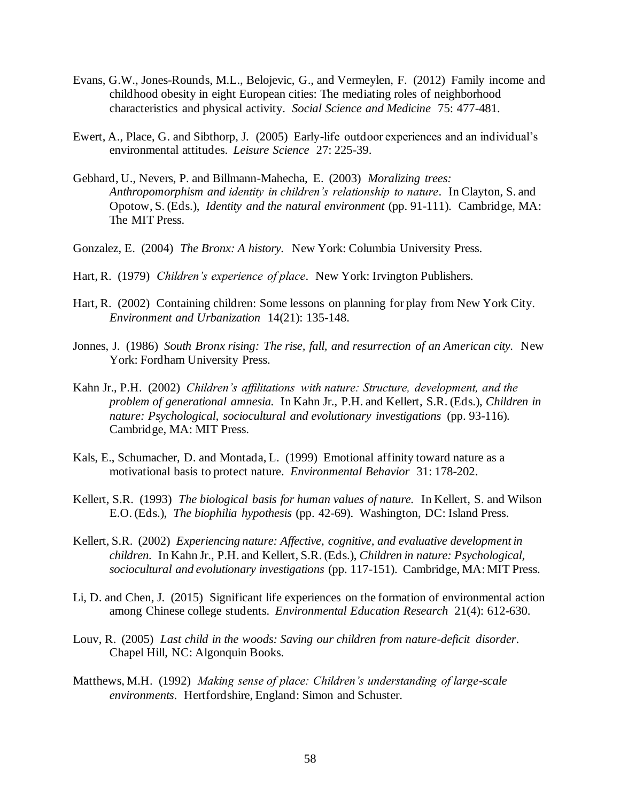- Evans, G.W., Jones-Rounds, M.L., Belojevic, G., and Vermeylen, F. (2012) Family income and childhood obesity in eight European cities: The mediating roles of neighborhood characteristics and physical activity. *Social Science and Medicine* 75: 477-481.
- Ewert, A., Place, G. and Sibthorp, J. (2005) Early-life outdoor experiences and an individual's environmental attitudes. *Leisure Science* 27: 225-39.
- Gebhard, U., Nevers, P. and Billmann-Mahecha, E. (2003) *Moralizing trees: Anthropomorphism and identity in children's relationship to nature*. In Clayton, S. and Opotow, S. (Eds.), *Identity and the natural environment* (pp. 91-111). Cambridge, MA: The MIT Press.
- Gonzalez, E. (2004) *The Bronx: A history.* New York: Columbia University Press.
- Hart, R. (1979) *Children's experience of place*. New York: Irvington Publishers.
- Hart, R. (2002) Containing children: Some lessons on planning for play from New York City. *Environment and Urbanization* 14(21): 135-148.
- Jonnes, J. (1986) *South Bronx rising: The rise, fall, and resurrection of an American city.* New York: Fordham University Press.
- Kahn Jr., P.H. (2002) *Children's affilitations with nature: Structure, development, and the problem of generational amnesia.* In Kahn Jr., P.H. and Kellert, S.R. (Eds.), *Children in nature: Psychological, sociocultural and evolutionary investigations (pp. 93-116).* Cambridge, MA: MIT Press.
- Kals, E., Schumacher, D. and Montada, L. (1999) Emotional affinity toward nature as a motivational basis to protect nature. *Environmental Behavior* 31: 178-202.
- Kellert, S.R. (1993) *The biological basis for human values of nature.* In Kellert, S. and Wilson E.O. (Eds.), *The biophilia hypothesis* (pp. 42-69). Washington, DC: Island Press.
- Kellert, S.R. (2002) *Experiencing nature: Affective, cognitive, and evaluative development in children.* In Kahn Jr., P.H. and Kellert, S.R. (Eds.), *Children in nature: Psychological, sociocultural and evolutionary investigations* (pp. 117-151). Cambridge, MA: MIT Press.
- Li, D. and Chen, J. (2015) Significant life experiences on the formation of environmental action among Chinese college students. *Environmental Education Research* 21(4): 612-630.
- Louv, R. (2005) *Last child in the woods: Saving our children from nature-deficit disorder*. Chapel Hill, NC: Algonquin Books.
- Matthews, M.H. (1992) *Making sense of place: Children's understanding of large-scale environments*. Hertfordshire, England: Simon and Schuster.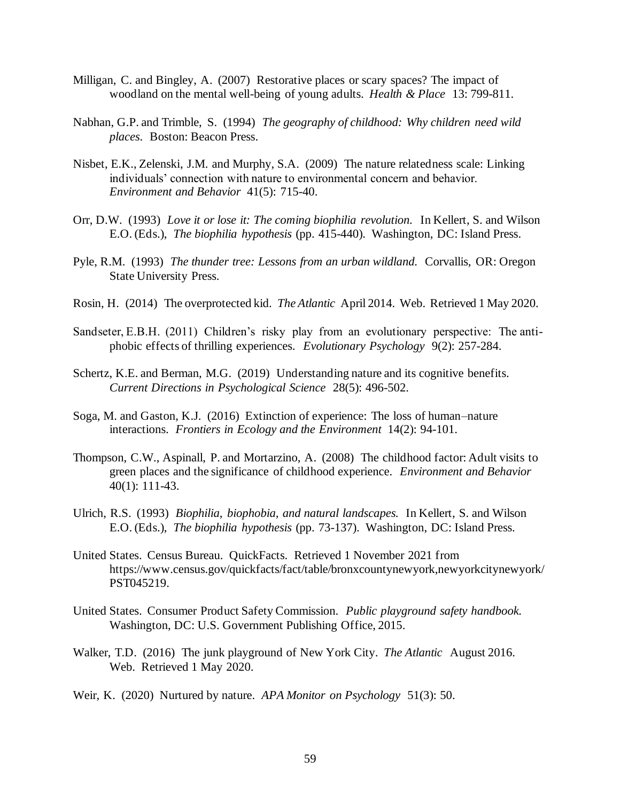- Milligan, C. and Bingley, A. (2007) Restorative places or scary spaces? The impact of woodland on the mental well-being of young adults. *Health & Place* 13: 799-811.
- Nabhan, G.P. and Trimble, S. (1994) *The geography of childhood: Why children need wild places*. Boston: Beacon Press.
- Nisbet, E.K., Zelenski, J.M. and Murphy, S.A. (2009) The nature relatedness scale: Linking individuals' connection with nature to environmental concern and behavior. *Environment and Behavior* 41(5): 715-40.
- Orr, D.W. (1993) *Love it or lose it: The coming biophilia revolution.* In Kellert, S. and Wilson E.O. (Eds.), *The biophilia hypothesis* (pp. 415-440). Washington, DC: Island Press.
- Pyle, R.M. (1993) *The thunder tree: Lessons from an urban wildland.* Corvallis, OR: Oregon State University Press.
- Rosin, H. (2014) The overprotected kid. *The Atlantic* April 2014. Web. Retrieved 1 May 2020.
- Sandseter, E.B.H. (2011) Children's risky play from an evolutionary perspective: The antiphobic effects of thrilling experiences. *Evolutionary Psychology* 9(2): 257-284.
- Schertz, K.E. and Berman, M.G. (2019) Understanding nature and its cognitive benefits. *Current Directions in Psychological Science* 28(5): 496-502.
- Soga, M. and Gaston, K.J. (2016) Extinction of experience: The loss of human–nature interactions. *Frontiers in Ecology and the Environment* 14(2): 94-101.
- Thompson, C.W., Aspinall, P. and Mortarzino, A. (2008) The childhood factor: Adult visits to green places and the significance of childhood experience. *Environment and Behavior*  40(1): 111-43.
- Ulrich, R.S. (1993) *Biophilia, biophobia, and natural landscapes.* In Kellert, S. and Wilson E.O. (Eds.), *The biophilia hypothesis* (pp. 73-137). Washington, DC: Island Press.
- United States. Census Bureau. QuickFacts.Retrieved 1 November 2021 from https://www.census.gov/quickfacts/fact/table/bronxcountynewyork,newyorkcitynewyork/ PST045219.
- United States. Consumer Product Safety Commission. *Public playground safety handbook.*  Washington, DC: U.S. Government Publishing Office, 2015.
- Walker, T.D. (2016) The junk playground of New York City. *The Atlantic* August 2016. Web. Retrieved 1 May 2020.
- Weir, K. (2020) Nurtured by nature. *APA Monitor on Psychology* 51(3): 50.